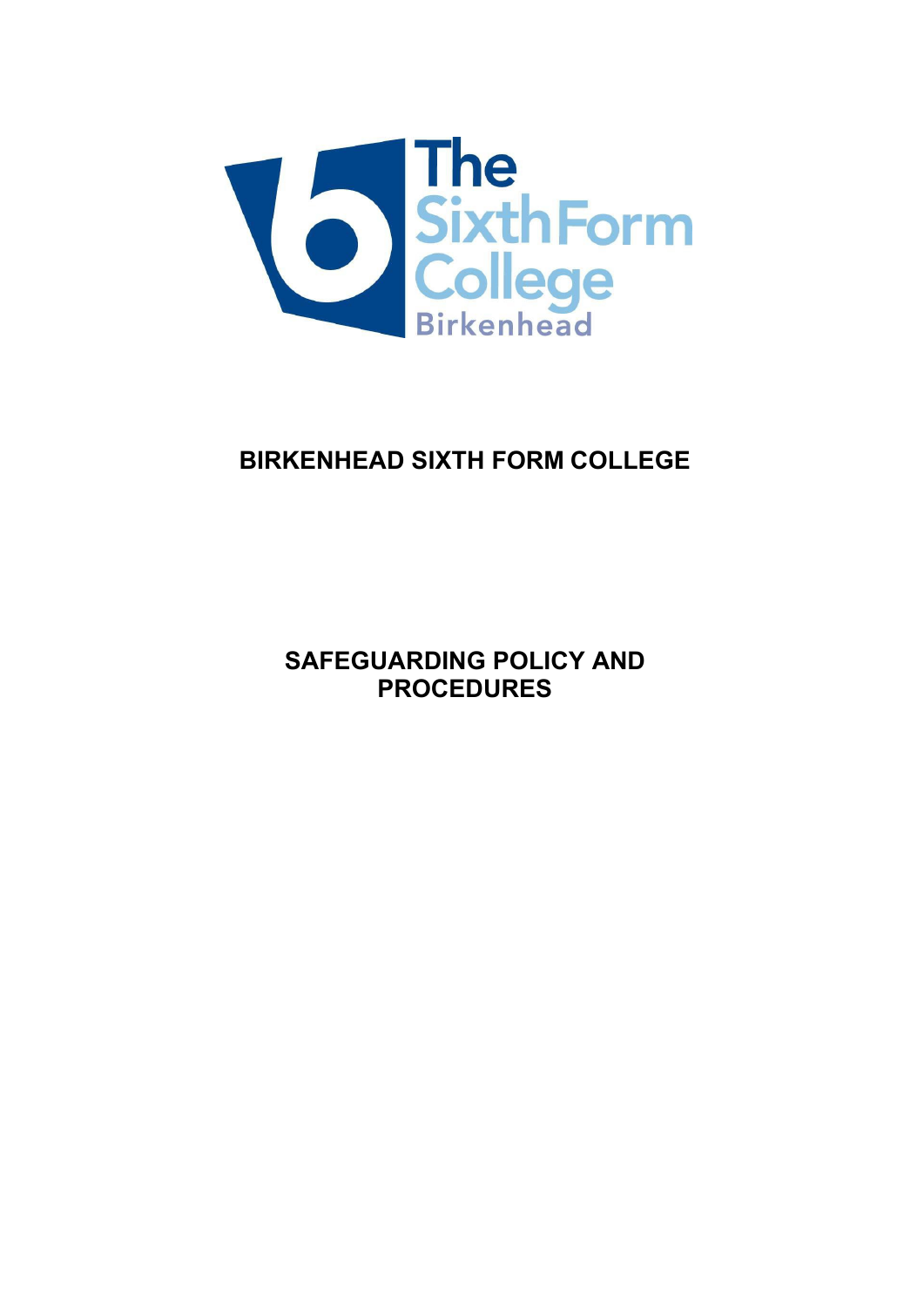

# **BIRKENHEAD SIXTH FORM COLLEGE**

**SAFEGUARDING POLICY AND PROCEDURES**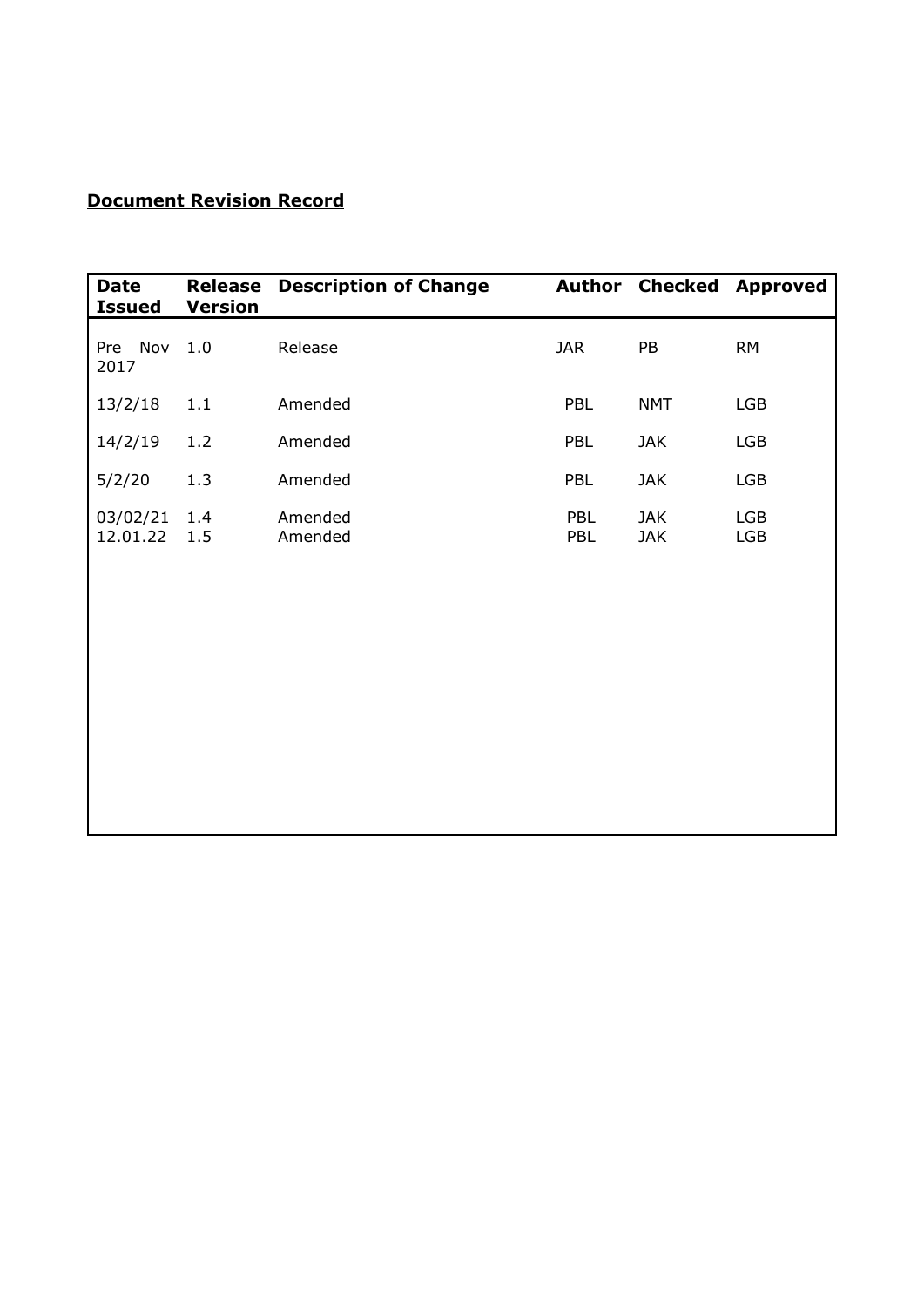# **Document Revision Record**

| <b>Date</b><br><b>Issued</b> | Release<br><b>Version</b> | <b>Description of Change</b> |            |                          | <b>Author Checked Approved</b> |
|------------------------------|---------------------------|------------------------------|------------|--------------------------|--------------------------------|
| Pre Nov<br>2017              | 1.0                       | Release                      | <b>JAR</b> | PB                       | <b>RM</b>                      |
| 13/2/18                      | 1.1                       | Amended                      | PBL        | <b>NMT</b>               | <b>LGB</b>                     |
| 14/2/19                      | 1.2                       | Amended                      | PBL        | <b>JAK</b>               | <b>LGB</b>                     |
| 5/2/20                       | 1.3                       | Amended                      | PBL        | <b>JAK</b>               | <b>LGB</b>                     |
| 03/02/21<br>12.01.22         | 1.4<br>1.5                | Amended<br>Amended           | PBL<br>PBL | <b>JAK</b><br><b>JAK</b> | <b>LGB</b><br><b>LGB</b>       |
|                              |                           |                              |            |                          |                                |
|                              |                           |                              |            |                          |                                |
|                              |                           |                              |            |                          |                                |
|                              |                           |                              |            |                          |                                |
|                              |                           |                              |            |                          |                                |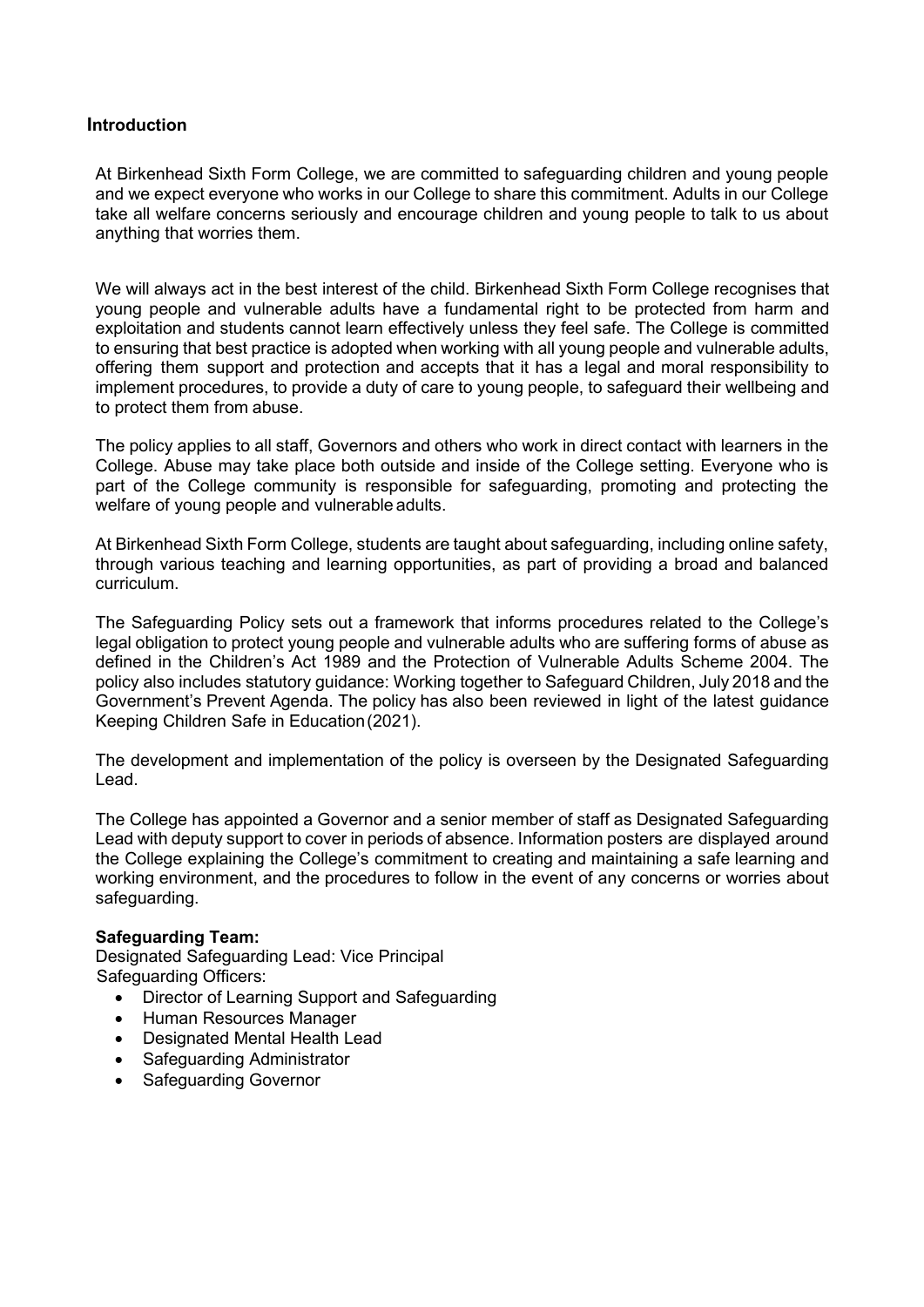### **Introduction**

At Birkenhead Sixth Form College, we are committed to safeguarding children and young people and we expect everyone who works in our College to share this commitment. Adults in our College take all welfare concerns seriously and encourage children and young people to talk to us about anything that worries them.

We will always act in the best interest of the child. Birkenhead Sixth Form College recognises that young people and vulnerable adults have a fundamental right to be protected from harm and exploitation and students cannot learn effectively unless they feel safe. The College is committed to ensuring that best practice is adopted when working with all young people and vulnerable adults, offering them support and protection and accepts that it has a legal and moral responsibility to implement procedures, to provide a duty of care to young people, to safeguard their wellbeing and to protect them from abuse.

The policy applies to all staff, Governors and others who work in direct contact with learners in the College. Abuse may take place both outside and inside of the College setting. Everyone who is part of the College community is responsible for safeguarding, promoting and protecting the welfare of young people and vulnerable adults.

At Birkenhead Sixth Form College, students are taught about safeguarding, including online safety, through various teaching and learning opportunities, as part of providing a broad and balanced curriculum.

The Safeguarding Policy sets out a framework that informs procedures related to the College's legal obligation to protect young people and vulnerable adults who are suffering forms of abuse as defined in the Children's Act 1989 and the Protection of Vulnerable Adults Scheme 2004. The policy also includes statutory guidance: Working together to Safeguard Children, July 2018 and the Government's Prevent Agenda. The policy has also been reviewed in light of the latest guidance Keeping Children Safe in Education(2021).

The development and implementation of the policy is overseen by the Designated Safeguarding Lead.

The College has appointed a Governor and a senior member of staff as Designated Safeguarding Lead with deputy support to cover in periods of absence. Information posters are displayed around the College explaining the College's commitment to creating and maintaining a safe learning and working environment, and the procedures to follow in the event of any concerns or worries about safeguarding.

#### **Safeguarding Team:**

Designated Safeguarding Lead: Vice Principal Safeguarding Officers:

- Director of Learning Support and Safeguarding
- Human Resources Manager
- Designated Mental Health Lead
- Safeguarding Administrator
- Safeguarding Governor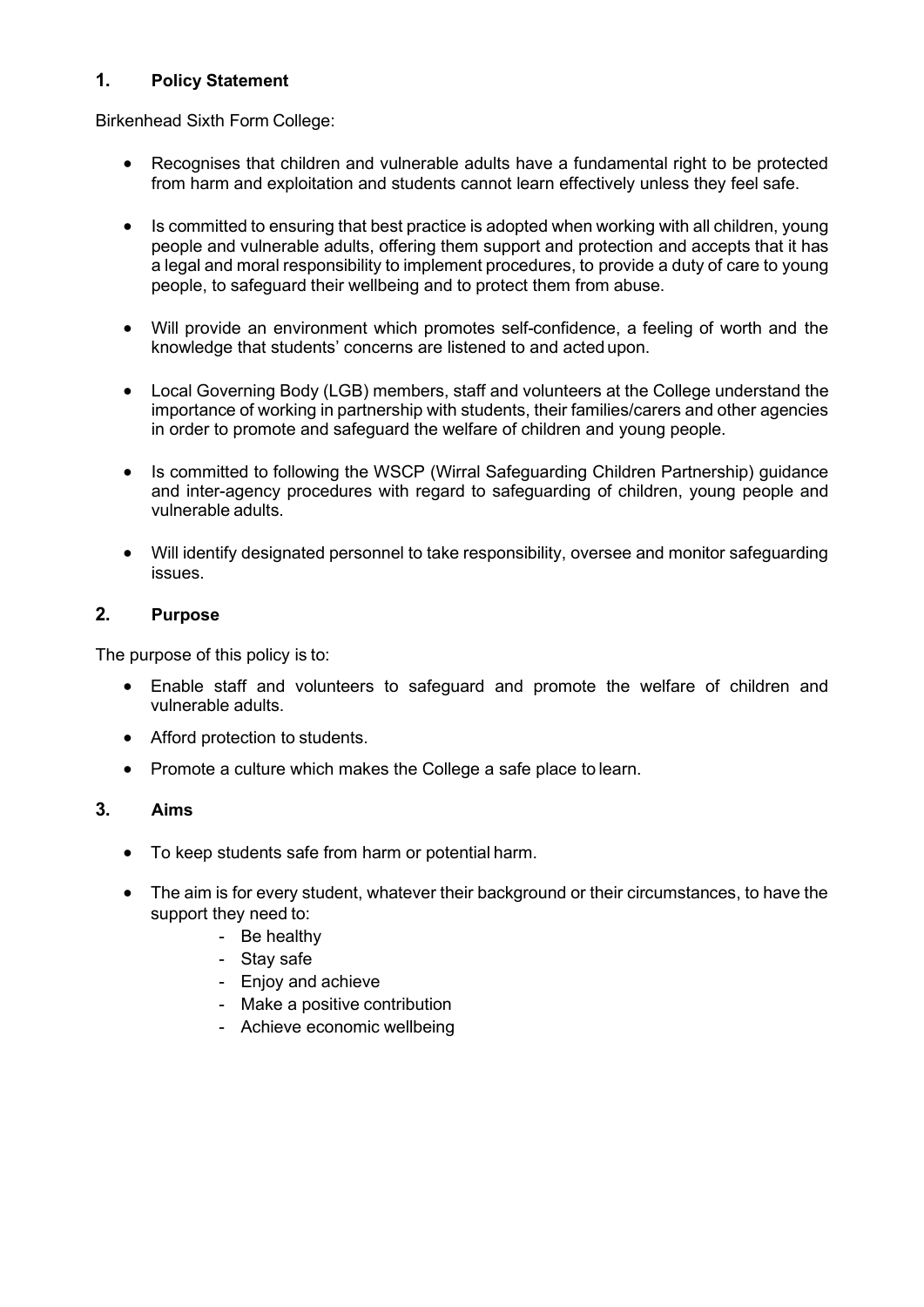### **1. Policy Statement**

Birkenhead Sixth Form College:

- Recognises that children and vulnerable adults have a fundamental right to be protected from harm and exploitation and students cannot learn effectively unless they feel safe.
- Is committed to ensuring that best practice is adopted when working with all children, young people and vulnerable adults, offering them support and protection and accepts that it has a legal and moral responsibility to implement procedures, to provide a duty of care to young people, to safeguard their wellbeing and to protect them from abuse.
- Will provide an environment which promotes self-confidence, a feeling of worth and the knowledge that students' concerns are listened to and acted upon.
- Local Governing Body (LGB) members, staff and volunteers at the College understand the importance of working in partnership with students, their families/carers and other agencies in order to promote and safeguard the welfare of children and young people.
- Is committed to following the WSCP (Wirral Safeguarding Children Partnership) guidance and inter-agency procedures with regard to safeguarding of children, young people and vulnerable adults.
- Will identify designated personnel to take responsibility, oversee and monitor safeguarding issues.

### **2. Purpose**

The purpose of this policy is to:

- Enable staff and volunteers to safeguard and promote the welfare of children and vulnerable adults.
- Afford protection to students.
- Promote a culture which makes the College a safe place to learn.

### **3. Aims**

- To keep students safe from harm or potential harm.
- The aim is for every student, whatever their background or their circumstances, to have the support they need to:
	- Be healthy
	- Stay safe
	- Enjoy and achieve
	- Make a positive contribution
	- Achieve economic wellbeing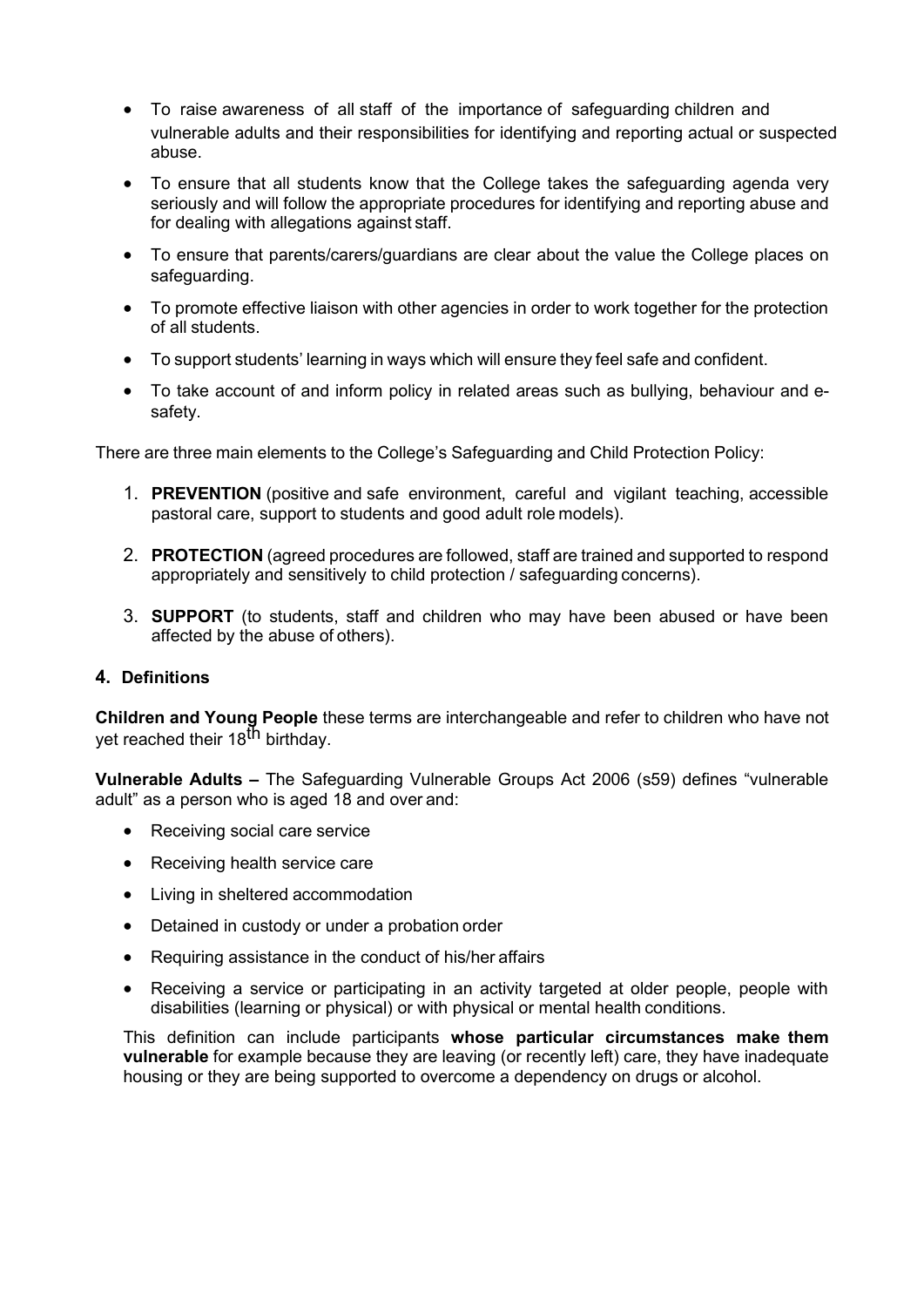- To raise awareness of all staff of the importance of safeguarding children and vulnerable adults and their responsibilities for identifying and reporting actual or suspected abuse.
- To ensure that all students know that the College takes the safeguarding agenda very seriously and will follow the appropriate procedures for identifying and reporting abuse and for dealing with allegations against staff.
- To ensure that parents/carers/guardians are clear about the value the College places on safeguarding.
- To promote effective liaison with other agencies in order to work together for the protection of all students.
- To support students' learning in ways which will ensure they feel safe and confident.
- To take account of and inform policy in related areas such as bullying, behaviour and esafety.

There are three main elements to the College's Safeguarding and Child Protection Policy:

- 1. **PREVENTION** (positive and safe environment, careful and vigilant teaching, accessible pastoral care, support to students and good adult role models).
- 2. **PROTECTION** (agreed procedures are followed, staff are trained and supported to respond appropriately and sensitively to child protection / safeguarding concerns).
- 3. **SUPPORT** (to students, staff and children who may have been abused or have been affected by the abuse of others).

#### **4. Definitions**

**Children and Young People** these terms are interchangeable and refer to children who have not yet reached their 18<sup>th</sup> birthday.

**Vulnerable Adults –** The Safeguarding Vulnerable Groups Act 2006 (s59) defines "vulnerable adult" as a person who is aged 18 and over and:

- Receiving social care service
- Receiving health service care
- Living in sheltered accommodation
- Detained in custody or under a probation order
- Requiring assistance in the conduct of his/her affairs
- Receiving a service or participating in an activity targeted at older people, people with disabilities (learning or physical) or with physical or mental health conditions.

This definition can include participants **whose particular circumstances make them vulnerable** for example because they are leaving (or recently left) care, they have inadequate housing or they are being supported to overcome a dependency on drugs or alcohol.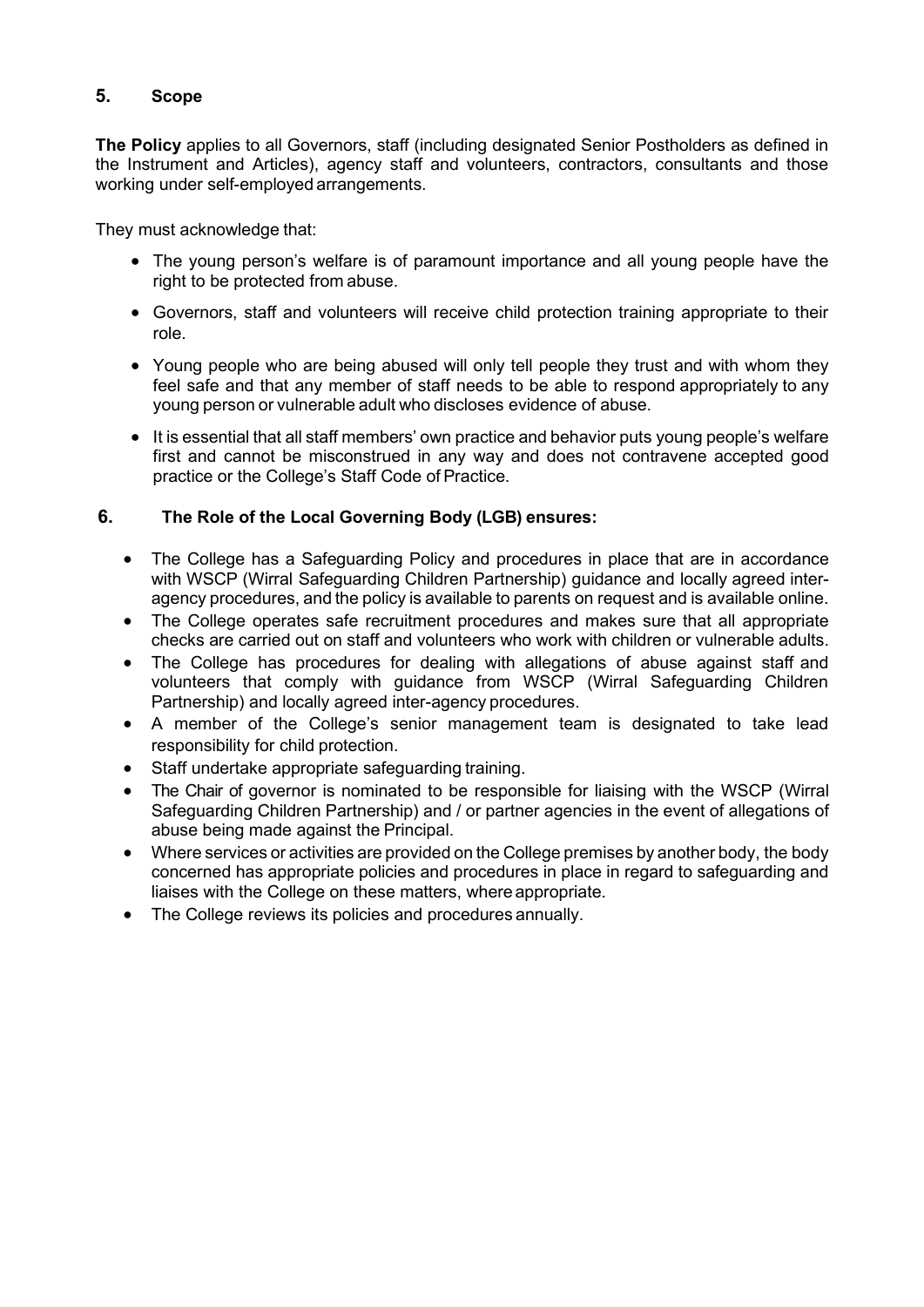# **5. Scope**

**The Policy** applies to all Governors, staff (including designated Senior Postholders as defined in the Instrument and Articles), agency staff and volunteers, contractors, consultants and those working under self-employed arrangements.

They must acknowledge that:

- The young person's welfare is of paramount importance and all young people have the right to be protected from abuse.
- Governors, staff and volunteers will receive child protection training appropriate to their role.
- Young people who are being abused will only tell people they trust and with whom they feel safe and that any member of staff needs to be able to respond appropriately to any young person or vulnerable adult who discloses evidence of abuse.
- It is essential that all staff members' own practice and behavior puts young people's welfare first and cannot be misconstrued in any way and does not contravene accepted good practice or the College's Staff Code of Practice.

### **6. The Role of the Local Governing Body (LGB) ensures:**

- The College has a Safeguarding Policy and procedures in place that are in accordance with WSCP (Wirral Safeguarding Children Partnership) guidance and locally agreed interagency procedures, and the policy is available to parents on request and is available online.
- The College operates safe recruitment procedures and makes sure that all appropriate checks are carried out on staff and volunteers who work with children or vulnerable adults.
- The College has procedures for dealing with allegations of abuse against staff and volunteers that comply with guidance from WSCP (Wirral Safeguarding Children Partnership) and locally agreed inter-agency procedures.
- A member of the College's senior management team is designated to take lead responsibility for child protection.
- Staff undertake appropriate safeguarding training.
- The Chair of governor is nominated to be responsible for liaising with the WSCP (Wirral Safeguarding Children Partnership) and / or partner agencies in the event of allegations of abuse being made against the Principal.
- Where services or activities are provided on the College premises by another body, the body concerned has appropriate policies and procedures in place in regard to safeguarding and liaises with the College on these matters, where appropriate.
- The College reviews its policies and procedures annually.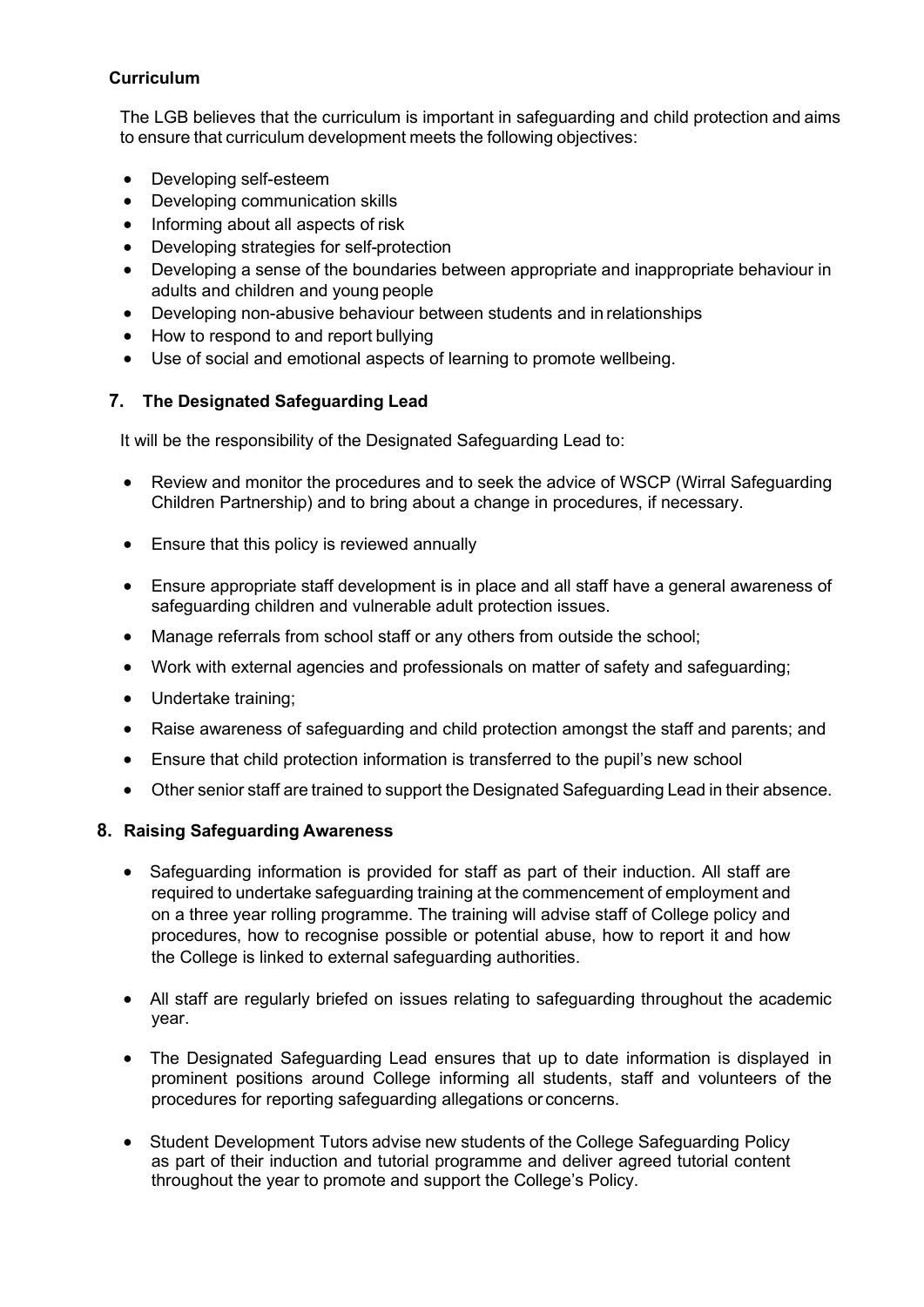### **Curriculum**

The LGB believes that the curriculum is important in safeguarding and child protection and aims to ensure that curriculum development meets the following objectives:

- Developing self-esteem
- Developing communication skills
- Informing about all aspects of risk
- Developing strategies for self-protection
- Developing a sense of the boundaries between appropriate and inappropriate behaviour in adults and children and young people
- Developing non-abusive behaviour between students and in relationships
- How to respond to and report bullying
- Use of social and emotional aspects of learning to promote wellbeing.

# **7. The Designated Safeguarding Lead**

It will be the responsibility of the Designated Safeguarding Lead to:

- Review and monitor the procedures and to seek the advice of WSCP (Wirral Safeguarding Children Partnership) and to bring about a change in procedures, if necessary.
- Ensure that this policy is reviewed annually
- Ensure appropriate staff development is in place and all staff have a general awareness of safeguarding children and vulnerable adult protection issues.
- Manage referrals from school staff or any others from outside the school;
- Work with external agencies and professionals on matter of safety and safeguarding;
- Undertake training;
- Raise awareness of safeguarding and child protection amongst the staff and parents; and
- Ensure that child protection information is transferred to the pupil's new school
- Other senior staff are trained to support the Designated Safeguarding Lead in their absence.

### **8. Raising Safeguarding Awareness**

- Safeguarding information is provided for staff as part of their induction. All staff are required to undertake safeguarding training at the commencement of employment and on a three year rolling programme. The training will advise staff of College policy and procedures, how to recognise possible or potential abuse, how to report it and how the College is linked to external safeguarding authorities.
- All staff are regularly briefed on issues relating to safeguarding throughout the academic year.
- The Designated Safeguarding Lead ensures that up to date information is displayed in prominent positions around College informing all students, staff and volunteers of the procedures for reporting safeguarding allegations or concerns.
- Student Development Tutors advise new students of the College Safeguarding Policy as part of their induction and tutorial programme and deliver agreed tutorial content throughout the year to promote and support the College's Policy.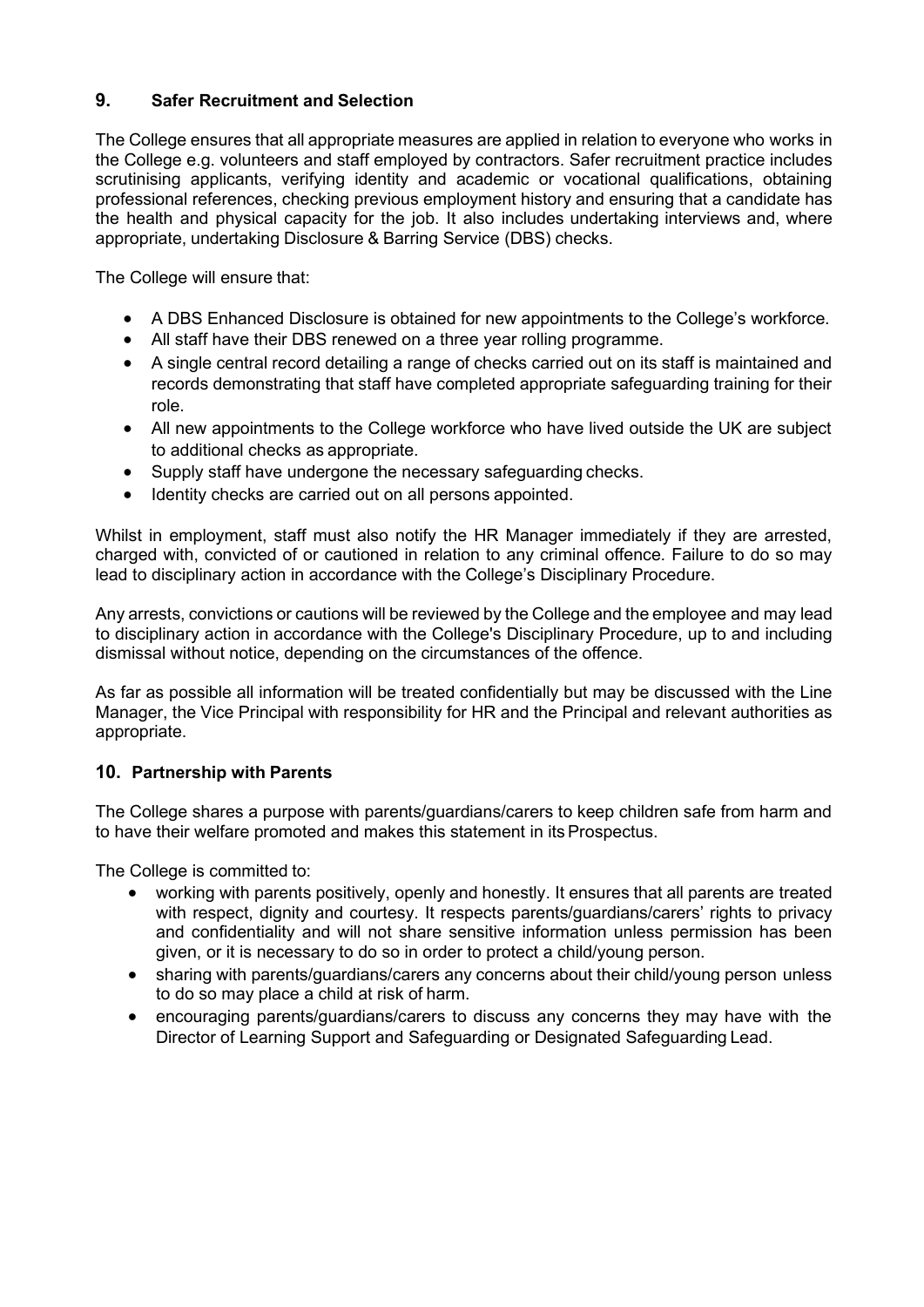# **9. Safer Recruitment and Selection**

The College ensures that all appropriate measures are applied in relation to everyone who works in the College e.g. volunteers and staff employed by contractors. Safer recruitment practice includes scrutinising applicants, verifying identity and academic or vocational qualifications, obtaining professional references, checking previous employment history and ensuring that a candidate has the health and physical capacity for the job. It also includes undertaking interviews and, where appropriate, undertaking Disclosure & Barring Service (DBS) checks.

The College will ensure that:

- A DBS Enhanced Disclosure is obtained for new appointments to the College's workforce.
- All staff have their DBS renewed on a three year rolling programme.
- A single central record detailing a range of checks carried out on its staff is maintained and records demonstrating that staff have completed appropriate safeguarding training for their role.
- All new appointments to the College workforce who have lived outside the UK are subject to additional checks as appropriate.
- Supply staff have undergone the necessary safeguarding checks.
- Identity checks are carried out on all persons appointed.

Whilst in employment, staff must also notify the HR Manager immediately if they are arrested, charged with, convicted of or cautioned in relation to any criminal offence. Failure to do so may lead to disciplinary action in accordance with the College's Disciplinary Procedure.

Any arrests, convictions or cautions will be reviewed by the College and the employee and may lead to disciplinary action in accordance with the College's Disciplinary Procedure, up to and including dismissal without notice, depending on the circumstances of the offence.

As far as possible all information will be treated confidentially but may be discussed with the Line Manager, the Vice Principal with responsibility for HR and the Principal and relevant authorities as appropriate.

### **10. Partnership with Parents**

The College shares a purpose with parents/guardians/carers to keep children safe from harm and to have their welfare promoted and makes this statement in its Prospectus.

The College is committed to:

- working with parents positively, openly and honestly. It ensures that all parents are treated with respect, dignity and courtesy. It respects parents/guardians/carers' rights to privacy and confidentiality and will not share sensitive information unless permission has been given, or it is necessary to do so in order to protect a child/young person.
- sharing with parents/guardians/carers any concerns about their child/young person unless to do so may place a child at risk of harm.
- encouraging parents/guardians/carers to discuss any concerns they may have with the Director of Learning Support and Safeguarding or Designated Safeguarding Lead.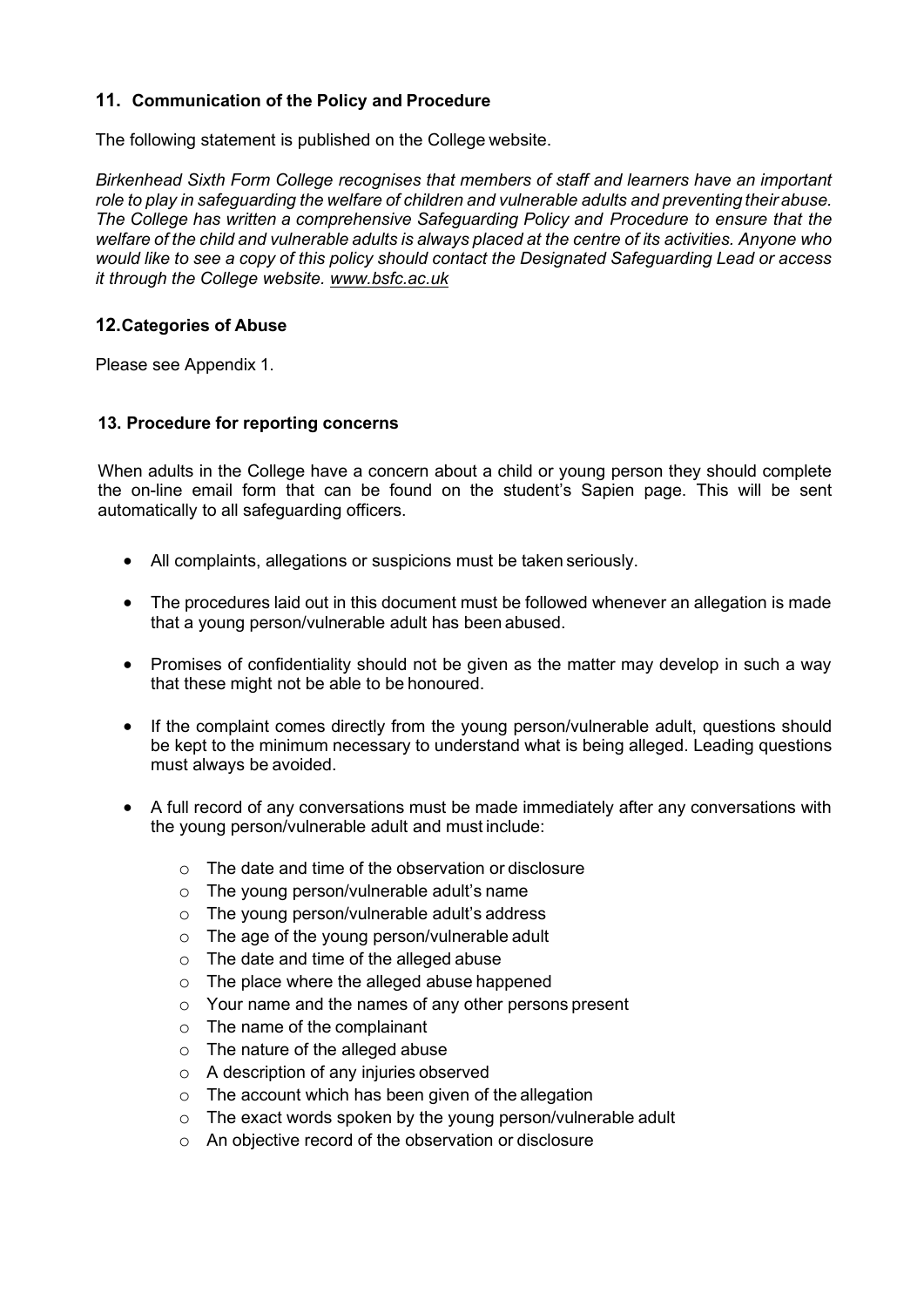# **11. Communication of the Policy and Procedure**

The following statement is published on the College website.

*Birkenhead Sixth Form College recognises that members of staff and learners have an important role to play in safeguarding the welfare of children and vulnerable adults and preventing their abuse. The College has written a comprehensive Safeguarding Policy and Procedure to ensure that the welfare of the child and vulnerable adults is always placed at the centre of its activities. Anyone who would like to see a copy of this policy should contact the Designated Safeguarding Lead or access it through the College website. [www.bsfc.ac.uk](http://www.bsfc.ac.uk/)*

### **12.Categories of Abuse**

Please see Appendix 1.

### **13. Procedure for reporting concerns**

When adults in the College have a concern about a child or young person they should complete the on-line email form that can be found on the student's Sapien page. This will be sent automatically to all safeguarding officers.

- All complaints, allegations or suspicions must be taken seriously.
- The procedures laid out in this document must be followed whenever an allegation is made that a young person/vulnerable adult has been abused.
- Promises of confidentiality should not be given as the matter may develop in such a way that these might not be able to be honoured.
- If the complaint comes directly from the young person/vulnerable adult, questions should be kept to the minimum necessary to understand what is being alleged. Leading questions must always be avoided.
- A full record of any conversations must be made immediately after any conversations with the young person/vulnerable adult and must include:
	- o The date and time of the observation or disclosure
	- o The young person/vulnerable adult's name
	- o The young person/vulnerable adult's address
	- o The age of the young person/vulnerable adult
	- o The date and time of the alleged abuse
	- o The place where the alleged abuse happened
	- o Your name and the names of any other persons present
	- o The name of the complainant
	- o The nature of the alleged abuse
	- o A description of any injuries observed
	- o The account which has been given of the allegation
	- o The exact words spoken by the young person/vulnerable adult
	- o An objective record of the observation or disclosure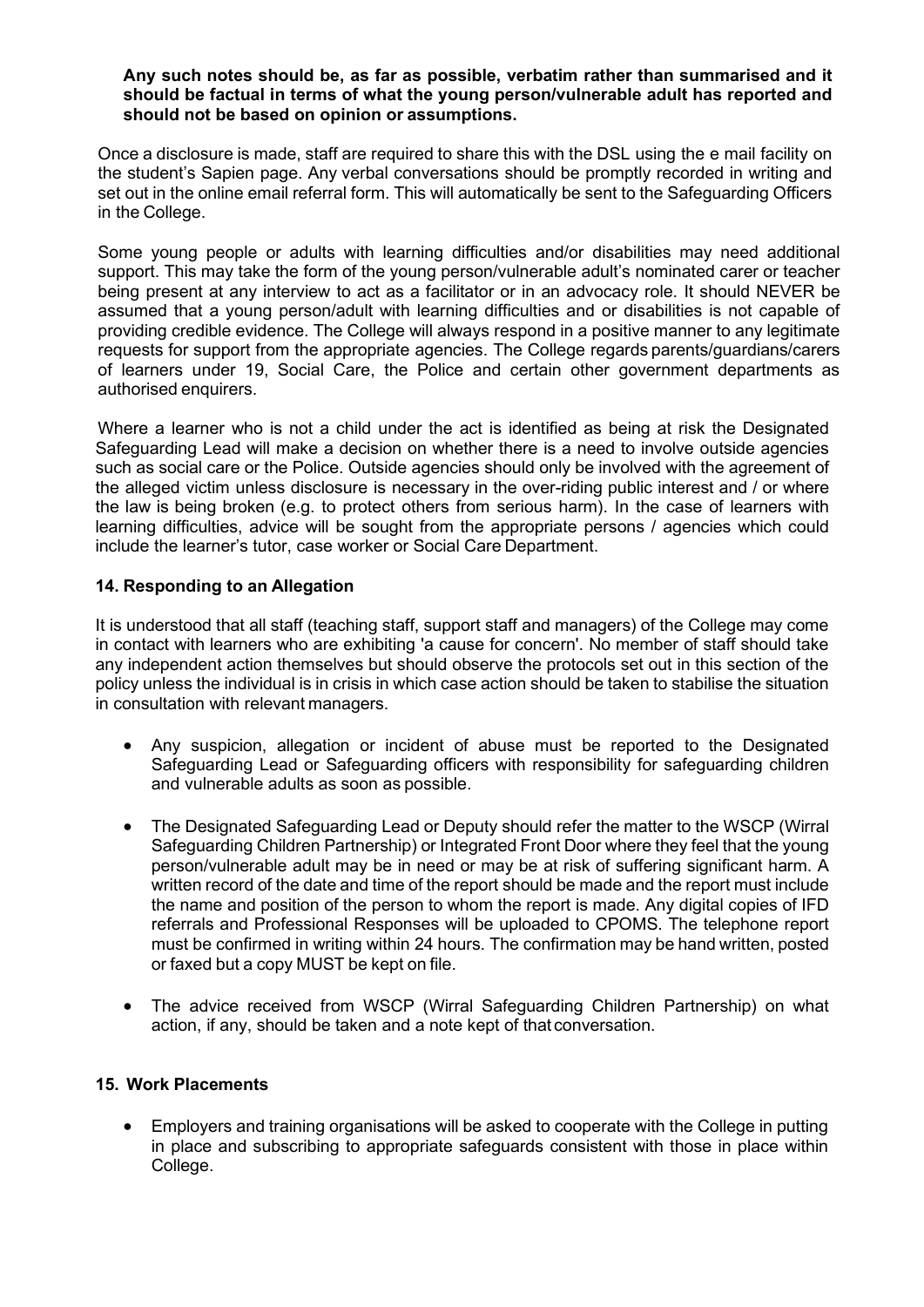#### **Any such notes should be, as far as possible, verbatim rather than summarised and it should be factual in terms of what the young person/vulnerable adult has reported and should not be based on opinion or assumptions.**

Once a disclosure is made, staff are required to share this with the DSL using the e mail facility on the student's Sapien page. Any verbal conversations should be promptly recorded in writing and set out in the online email referral form. This will automatically be sent to the Safeguarding Officers in the College.

Some young people or adults with learning difficulties and/or disabilities may need additional support. This may take the form of the young person/vulnerable adult's nominated carer or teacher being present at any interview to act as a facilitator or in an advocacy role. It should NEVER be assumed that a young person/adult with learning difficulties and or disabilities is not capable of providing credible evidence. The College will always respond in a positive manner to any legitimate requests for support from the appropriate agencies. The College regards parents/guardians/carers of learners under 19, Social Care, the Police and certain other government departments as authorised enquirers.

Where a learner who is not a child under the act is identified as being at risk the Designated Safeguarding Lead will make a decision on whether there is a need to involve outside agencies such as social care or the Police. Outside agencies should only be involved with the agreement of the alleged victim unless disclosure is necessary in the over-riding public interest and / or where the law is being broken (e.g. to protect others from serious harm). In the case of learners with learning difficulties, advice will be sought from the appropriate persons / agencies which could include the learner's tutor, case worker or Social Care Department.

### **14. Responding to an Allegation**

It is understood that all staff (teaching staff, support staff and managers) of the College may come in contact with learners who are exhibiting 'a cause for concern'. No member of staff should take any independent action themselves but should observe the protocols set out in this section of the policy unless the individual is in crisis in which case action should be taken to stabilise the situation in consultation with relevant managers.

- Any suspicion, allegation or incident of abuse must be reported to the Designated Safeguarding Lead or Safeguarding officers with responsibility for safeguarding children and vulnerable adults as soon as possible.
- The Designated Safeguarding Lead or Deputy should refer the matter to the WSCP (Wirral Safeguarding Children Partnership) or Integrated Front Door where they feel that the young person/vulnerable adult may be in need or may be at risk of suffering significant harm. A written record of the date and time of the report should be made and the report must include the name and position of the person to whom the report is made. Any digital copies of IFD referrals and Professional Responses will be uploaded to CPOMS. The telephone report must be confirmed in writing within 24 hours. The confirmation may be hand written, posted or faxed but a copy MUST be kept on file.
- The advice received from WSCP (Wirral Safeguarding Children Partnership) on what action, if any, should be taken and a note kept of that conversation.

#### **15. Work Placements**

• Employers and training organisations will be asked to cooperate with the College in putting in place and subscribing to appropriate safeguards consistent with those in place within College.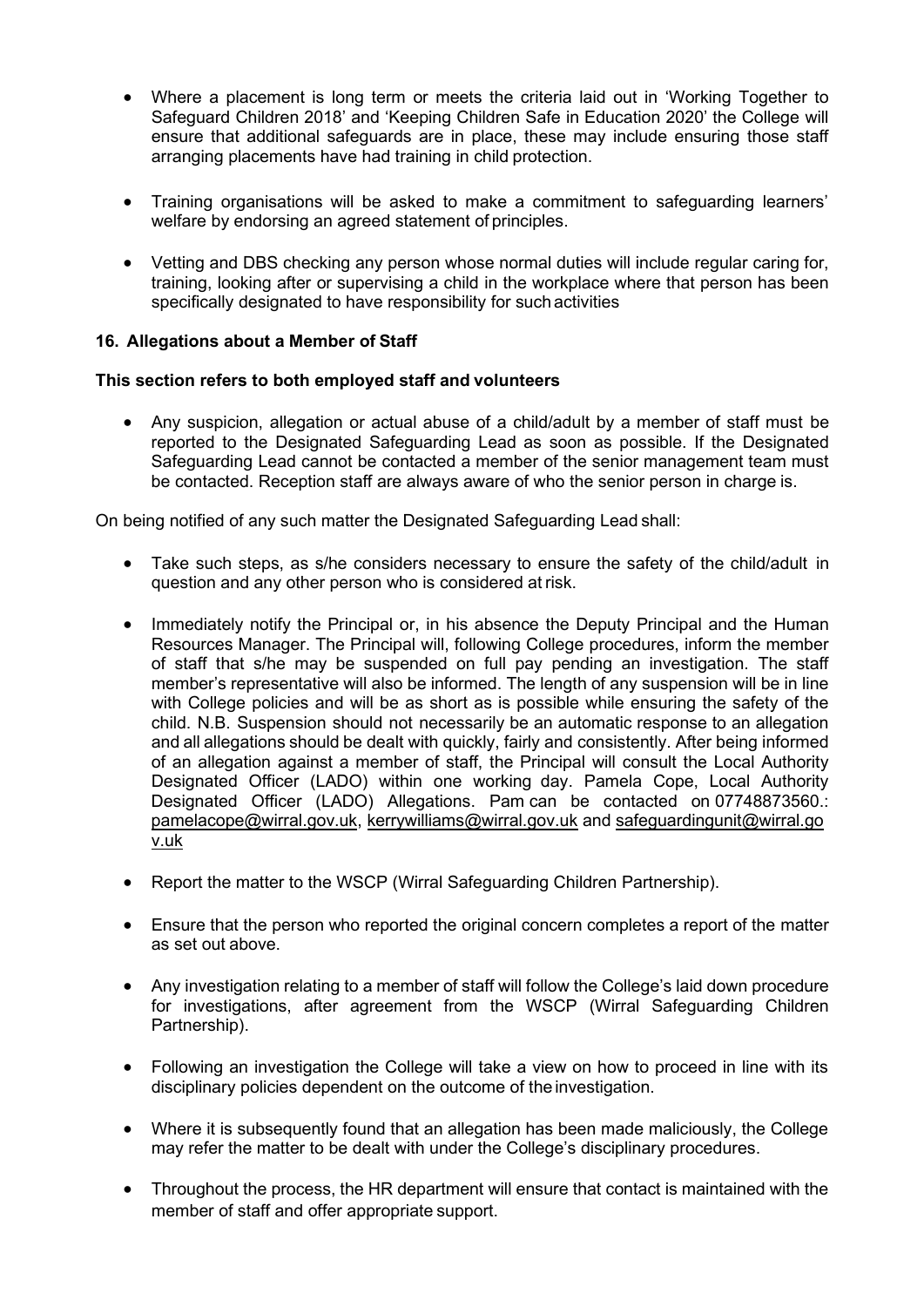- Where a placement is long term or meets the criteria laid out in 'Working Together to Safeguard Children 2018' and 'Keeping Children Safe in Education 2020' the College will ensure that additional safeguards are in place, these may include ensuring those staff arranging placements have had training in child protection.
- Training organisations will be asked to make a commitment to safeguarding learners' welfare by endorsing an agreed statement of principles.
- Vetting and DBS checking any person whose normal duties will include regular caring for, training, looking after or supervising a child in the workplace where that person has been specifically designated to have responsibility for such activities

### **16. Allegations about a Member of Staff**

#### **This section refers to both employed staff and volunteers**

• Any suspicion, allegation or actual abuse of a child/adult by a member of staff must be reported to the Designated Safeguarding Lead as soon as possible. If the Designated Safeguarding Lead cannot be contacted a member of the senior management team must be contacted. Reception staff are always aware of who the senior person in charge is.

On being notified of any such matter the Designated Safeguarding Lead shall:

- Take such steps, as s/he considers necessary to ensure the safety of the child/adult in question and any other person who is considered at risk.
- Immediately notify the Principal or, in his absence the Deputy Principal and the Human Resources Manager. The Principal will, following College procedures, inform the member of staff that s/he may be suspended on full pay pending an investigation. The staff member's representative will also be informed. The length of any suspension will be in line with College policies and will be as short as is possible while ensuring the safety of the child. N.B. Suspension should not necessarily be an automatic response to an allegation and all allegations should be dealt with quickly, fairly and consistently. After being informed of an allegation against a member of staff, the Principal will consult the Local Authority Designated Officer (LADO) within one working day. Pamela Cope, Local Authority Designated Officer (LADO) Allegations. Pam can be contacted on 07748873560.: [pamelacope@wirral.gov.uk,](mailto:pamelacope@wirral.gov.uk) [kerrywilliams@wirral.gov.uk](https://www.wirralsafeguarding.co.uk/professionals/lado-allegations/KerryWilliams@wirral.gov.uk) and [safeguardingunit@wirral.go](mailto:safeguardingunit@wirral.gov.uk) [v.uk](mailto:safeguardingunit@wirral.gov.uk)
- Report the matter to the WSCP (Wirral Safeguarding Children Partnership).
- Ensure that the person who reported the original concern completes a report of the matter as set out above.
- Any investigation relating to a member of staff will follow the College's laid down procedure for investigations, after agreement from the WSCP (Wirral Safeguarding Children Partnership).
- Following an investigation the College will take a view on how to proceed in line with its disciplinary policies dependent on the outcome of the investigation.
- Where it is subsequently found that an allegation has been made maliciously, the College may refer the matter to be dealt with under the College's disciplinary procedures.
- Throughout the process, the HR department will ensure that contact is maintained with the member of staff and offer appropriate support.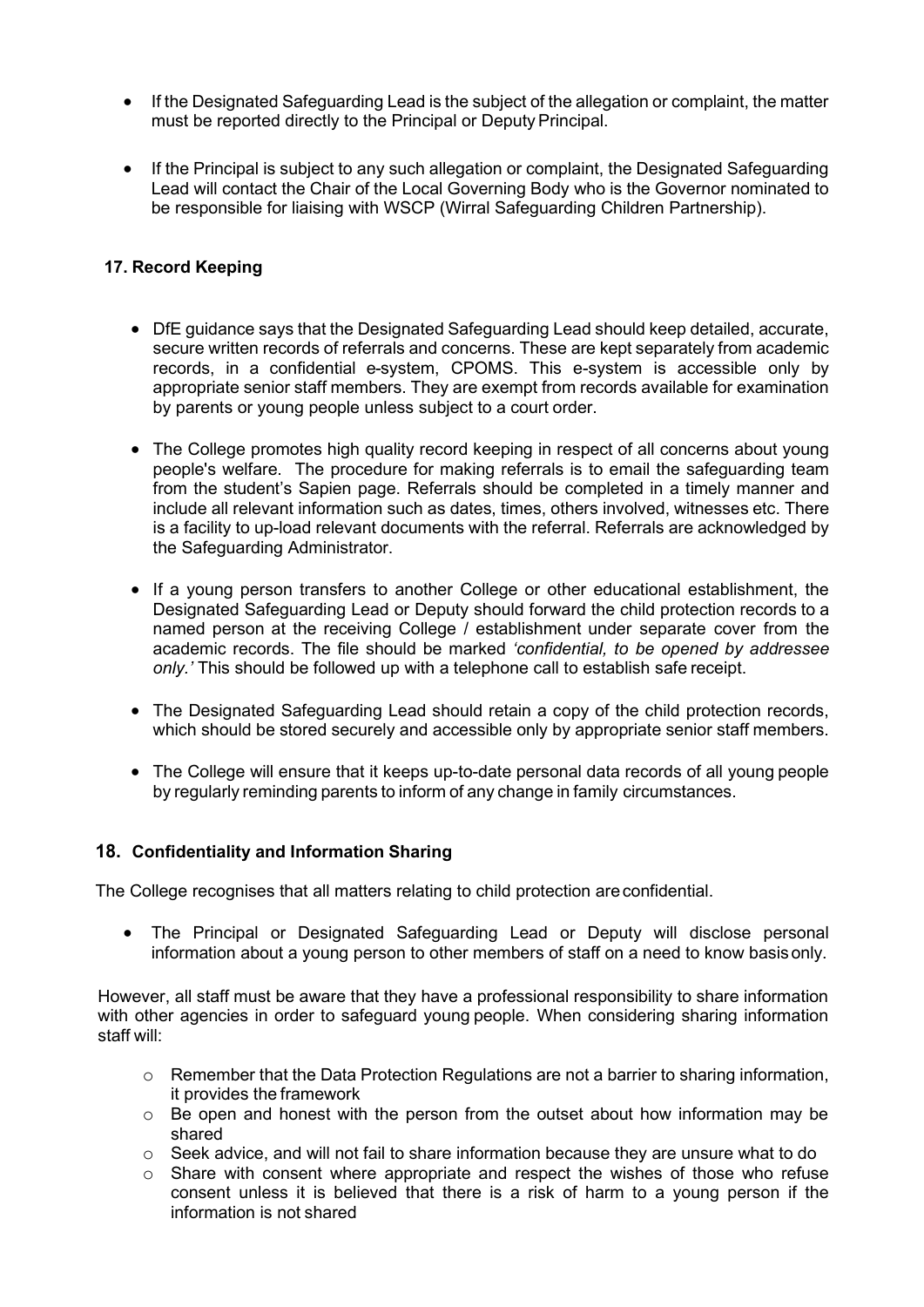- If the Designated Safeguarding Lead is the subject of the allegation or complaint, the matter must be reported directly to the Principal or Deputy Principal.
- If the Principal is subject to any such allegation or complaint, the Designated Safeguarding Lead will contact the Chair of the Local Governing Body who is the Governor nominated to be responsible for liaising with WSCP (Wirral Safeguarding Children Partnership).

### **17. Record Keeping**

- DfE guidance says that the Designated Safeguarding Lead should keep detailed, accurate, secure written records of referrals and concerns. These are kept separately from academic records, in a confidential e-system, CPOMS. This e-system is accessible only by appropriate senior staff members. They are exempt from records available for examination by parents or young people unless subject to a court order.
- The College promotes high quality record keeping in respect of all concerns about young people's welfare. The procedure for making referrals is to email the safeguarding team from the student's Sapien page. Referrals should be completed in a timely manner and include all relevant information such as dates, times, others involved, witnesses etc. There is a facility to up-load relevant documents with the referral. Referrals are acknowledged by the Safeguarding Administrator.
- If a young person transfers to another College or other educational establishment, the Designated Safeguarding Lead or Deputy should forward the child protection records to a named person at the receiving College / establishment under separate cover from the academic records. The file should be marked *'confidential, to be opened by addressee only.'* This should be followed up with a telephone call to establish safe receipt.
- The Designated Safeguarding Lead should retain a copy of the child protection records, which should be stored securely and accessible only by appropriate senior staff members.
- The College will ensure that it keeps up-to-date personal data records of all young people by regularly reminding parents to inform of any change in family circumstances.

#### **18. Confidentiality and Information Sharing**

The College recognises that all matters relating to child protection areconfidential.

• The Principal or Designated Safeguarding Lead or Deputy will disclose personal information about a young person to other members of staff on a need to know basisonly.

However, all staff must be aware that they have a professional responsibility to share information with other agencies in order to safeguard young people. When considering sharing information staff will:

- o Remember that the Data Protection Regulations are not a barrier to sharing information, it provides the framework
- $\circ$  Be open and honest with the person from the outset about how information may be shared
- $\circ$  Seek advice, and will not fail to share information because they are unsure what to do  $\circ$  Share with consent where appropriate and respect the wishes of those who refuse
- Share with consent where appropriate and respect the wishes of those who refuse consent unless it is believed that there is a risk of harm to a young person if the information is not shared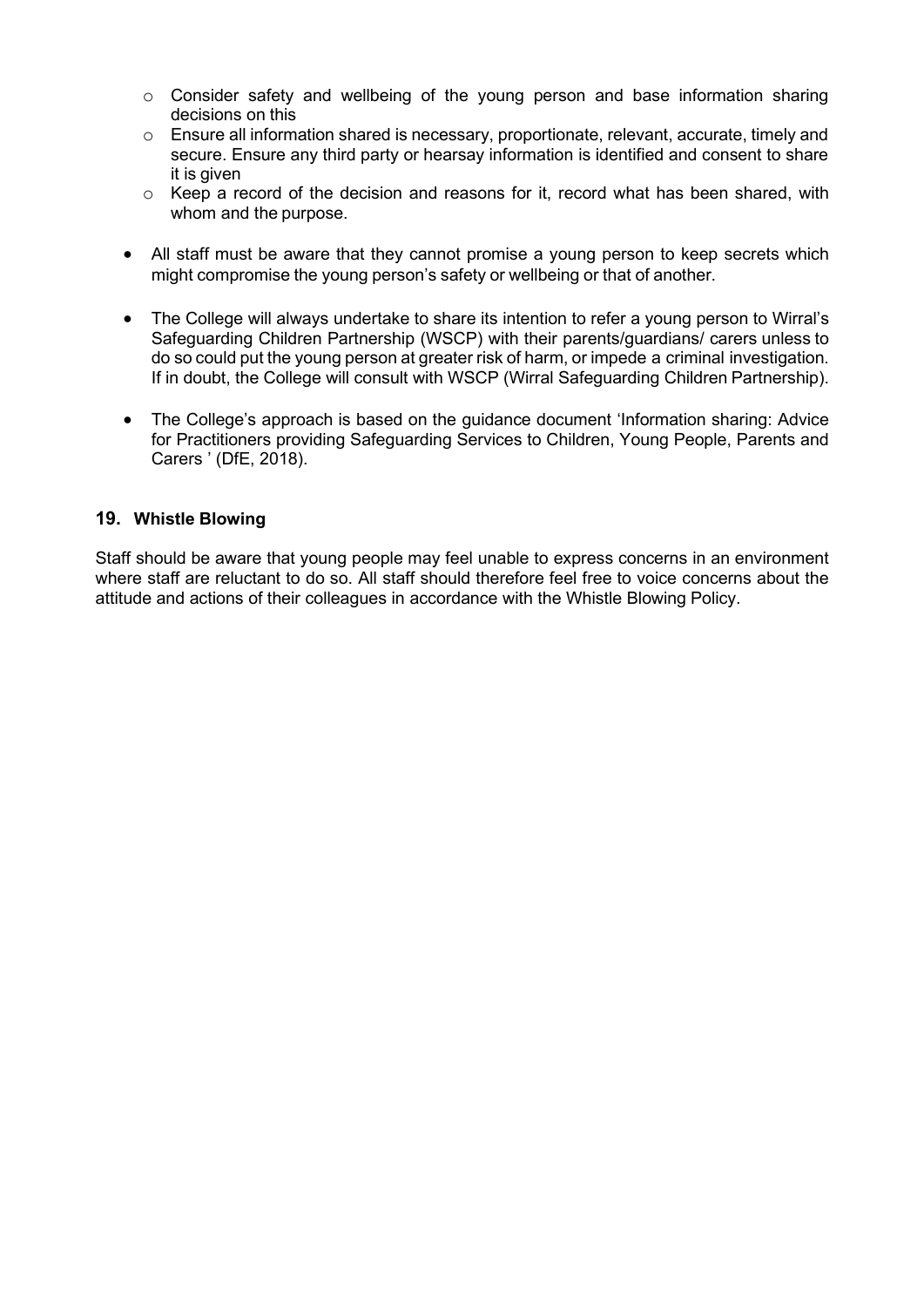- $\circ$  Consider safety and wellbeing of the young person and base information sharing decisions on this
- $\circ$  Ensure all information shared is necessary, proportionate, relevant, accurate, timely and secure. Ensure any third party or hearsay information is identified and consent to share it is given
- o Keep a record of the decision and reasons for it, record what has been shared, with whom and the purpose.
- All staff must be aware that they cannot promise a young person to keep secrets which might compromise the young person's safety or wellbeing or that of another.
- The College will always undertake to share its intention to refer a young person to Wirral's Safeguarding Children Partnership (WSCP) with their parents/guardians/ carers unless to do so could put the young person at greater risk of harm, or impede a criminal investigation. If in doubt, the College will consult with WSCP (Wirral Safeguarding Children Partnership).
- The College's approach is based on the guidance document 'Information sharing: Advice for Practitioners providing Safeguarding Services to Children, Young People, Parents and Carers ' (DfE, 2018).

### **19. Whistle Blowing**

Staff should be aware that young people may feel unable to express concerns in an environment where staff are reluctant to do so. All staff should therefore feel free to voice concerns about the attitude and actions of their colleagues in accordance with the Whistle Blowing Policy.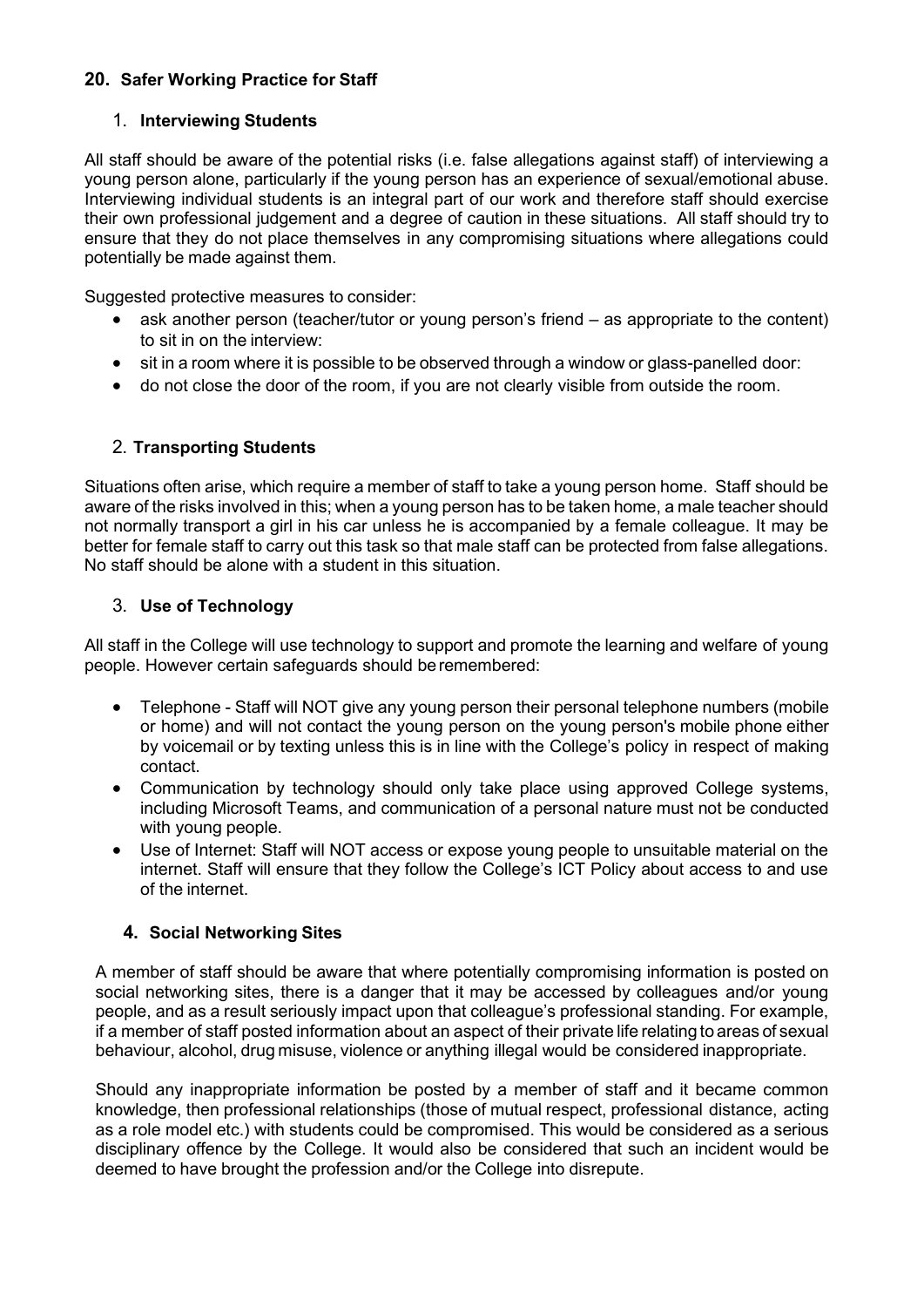# **20. Safer Working Practice for Staff**

# 1. **Interviewing Students**

All staff should be aware of the potential risks (i.e. false allegations against staff) of interviewing a young person alone, particularly if the young person has an experience of sexual/emotional abuse. Interviewing individual students is an integral part of our work and therefore staff should exercise their own professional judgement and a degree of caution in these situations. All staff should try to ensure that they do not place themselves in any compromising situations where allegations could potentially be made against them.

Suggested protective measures to consider:

- ask another person (teacher/tutor or young person's friend as appropriate to the content) to sit in on the interview:
- sit in a room where it is possible to be observed through a window or glass-panelled door:
- do not close the door of the room, if you are not clearly visible from outside the room.

# 2. **Transporting Students**

Situations often arise, which require a member of staff to take a young person home. Staff should be aware of the risks involved in this; when a young person has to be taken home, a male teacher should not normally transport a girl in his car unless he is accompanied by a female colleague. It may be better for female staff to carry out this task so that male staff can be protected from false allegations. No staff should be alone with a student in this situation.

# 3. **Use of Technology**

All staff in the College will use technology to support and promote the learning and welfare of young people. However certain safeguards should beremembered:

- Telephone Staff will NOT give any young person their personal telephone numbers (mobile or home) and will not contact the young person on the young person's mobile phone either by voicemail or by texting unless this is in line with the College's policy in respect of making contact.
- Communication by technology should only take place using approved College systems, including Microsoft Teams, and communication of a personal nature must not be conducted with young people.
- Use of Internet: Staff will NOT access or expose young people to unsuitable material on the internet. Staff will ensure that they follow the College's ICT Policy about access to and use of the internet.

# **4. Social Networking Sites**

A member of staff should be aware that where potentially compromising information is posted on social networking sites, there is a danger that it may be accessed by colleagues and/or young people, and as a result seriously impact upon that colleague's professional standing. For example, if a member of staff posted information about an aspect of their private life relating to areas of sexual behaviour, alcohol, drug misuse, violence or anything illegal would be considered inappropriate.

Should any inappropriate information be posted by a member of staff and it became common knowledge, then professional relationships (those of mutual respect, professional distance, acting as a role model etc.) with students could be compromised. This would be considered as a serious disciplinary offence by the College. It would also be considered that such an incident would be deemed to have brought the profession and/or the College into disrepute.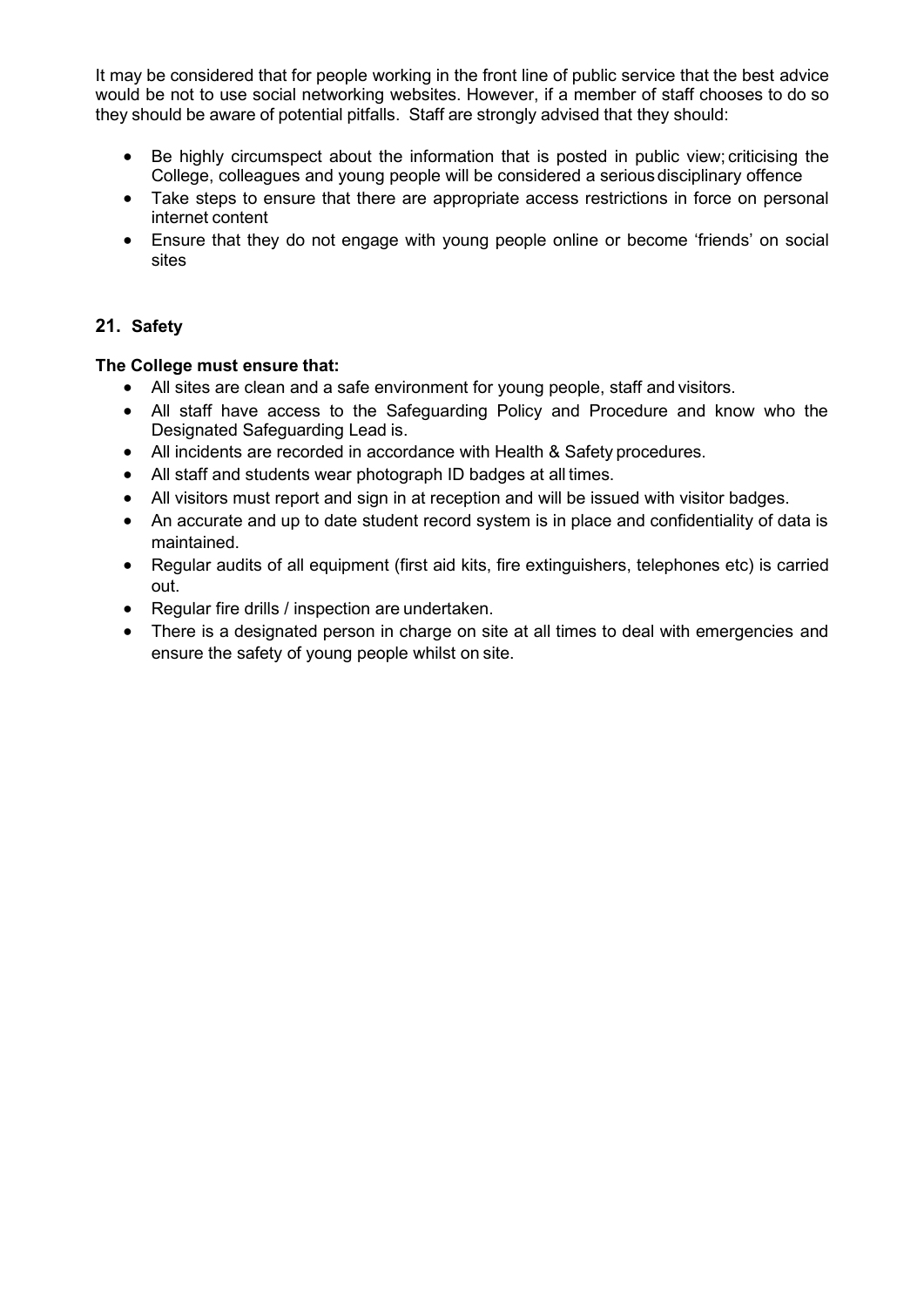It may be considered that for people working in the front line of public service that the best advice would be not to use social networking websites. However, if a member of staff chooses to do so they should be aware of potential pitfalls. Staff are strongly advised that they should:

- Be highly circumspect about the information that is posted in public view; criticising the College, colleagues and young people will be considered a seriousdisciplinary offence
- Take steps to ensure that there are appropriate access restrictions in force on personal internet content
- Ensure that they do not engage with young people online or become 'friends' on social sites

### **21. Safety**

### **The College must ensure that:**

- All sites are clean and a safe environment for young people, staff and visitors.
- All staff have access to the Safeguarding Policy and Procedure and know who the Designated Safeguarding Lead is.
- All incidents are recorded in accordance with Health & Safety procedures.
- All staff and students wear photograph ID badges at all times.
- All visitors must report and sign in at reception and will be issued with visitor badges.
- An accurate and up to date student record system is in place and confidentiality of data is maintained.
- Regular audits of all equipment (first aid kits, fire extinguishers, telephones etc) is carried out.
- Regular fire drills / inspection are undertaken.
- There is a designated person in charge on site at all times to deal with emergencies and ensure the safety of young people whilst on site.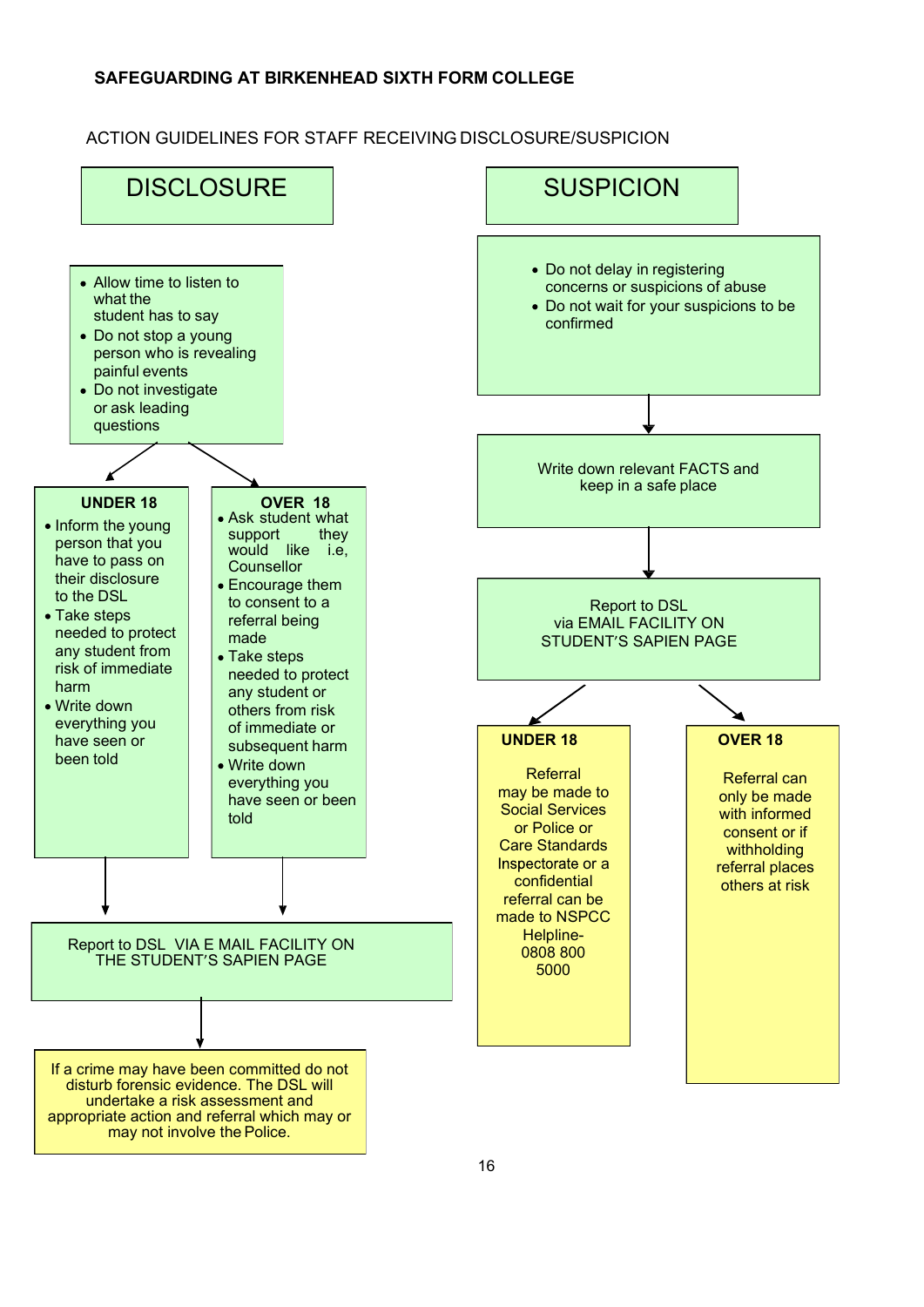### ACTION GUIDELINES FOR STAFF RECEIVING DISCLOSURE/SUSPICION

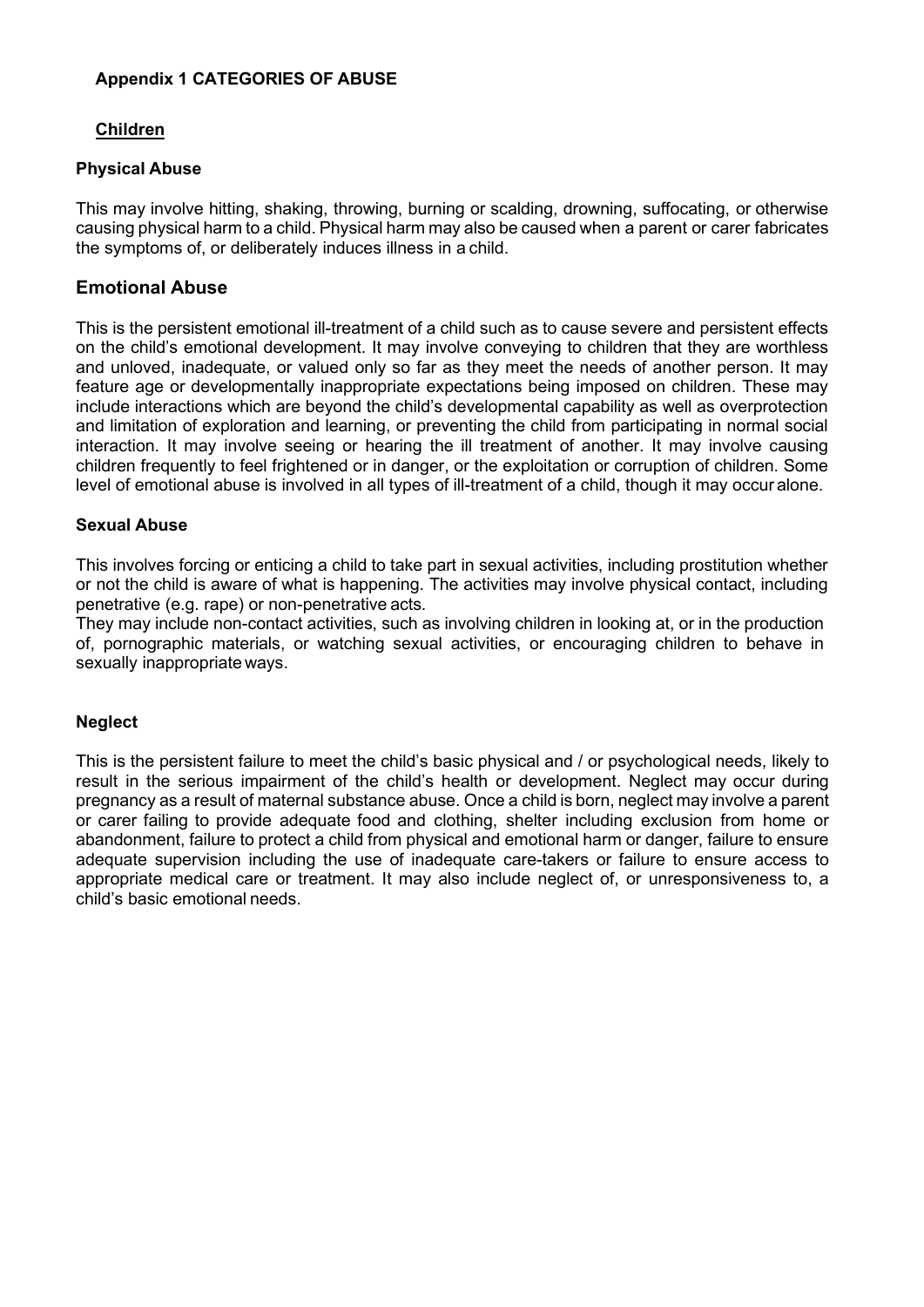### **Appendix 1 CATEGORIES OF ABUSE**

#### **Children**

#### **Physical Abuse**

This may involve hitting, shaking, throwing, burning or scalding, drowning, suffocating, or otherwise causing physical harm to a child. Physical harm may also be caused when a parent or carer fabricates the symptoms of, or deliberately induces illness in a child.

### **Emotional Abuse**

This is the persistent emotional ill-treatment of a child such as to cause severe and persistent effects on the child's emotional development. It may involve conveying to children that they are worthless and unloved, inadequate, or valued only so far as they meet the needs of another person. It may feature age or developmentally inappropriate expectations being imposed on children. These may include interactions which are beyond the child's developmental capability as well as overprotection and limitation of exploration and learning, or preventing the child from participating in normal social interaction. It may involve seeing or hearing the ill treatment of another. It may involve causing children frequently to feel frightened or in danger, or the exploitation or corruption of children. Some level of emotional abuse is involved in all types of ill-treatment of a child, though it may occur alone.

#### **Sexual Abuse**

This involves forcing or enticing a child to take part in sexual activities, including prostitution whether or not the child is aware of what is happening. The activities may involve physical contact, including penetrative (e.g. rape) or non-penetrative acts.

They may include non-contact activities, such as involving children in looking at, or in the production of, pornographic materials, or watching sexual activities, or encouraging children to behave in sexually inappropriate ways.

#### **Neglect**

This is the persistent failure to meet the child's basic physical and / or psychological needs, likely to result in the serious impairment of the child's health or development. Neglect may occur during pregnancy as a result of maternal substance abuse. Once a child is born, neglect may involve a parent or carer failing to provide adequate food and clothing, shelter including exclusion from home or abandonment, failure to protect a child from physical and emotional harm or danger, failure to ensure adequate supervision including the use of inadequate care-takers or failure to ensure access to appropriate medical care or treatment. It may also include neglect of, or unresponsiveness to, a child's basic emotional needs.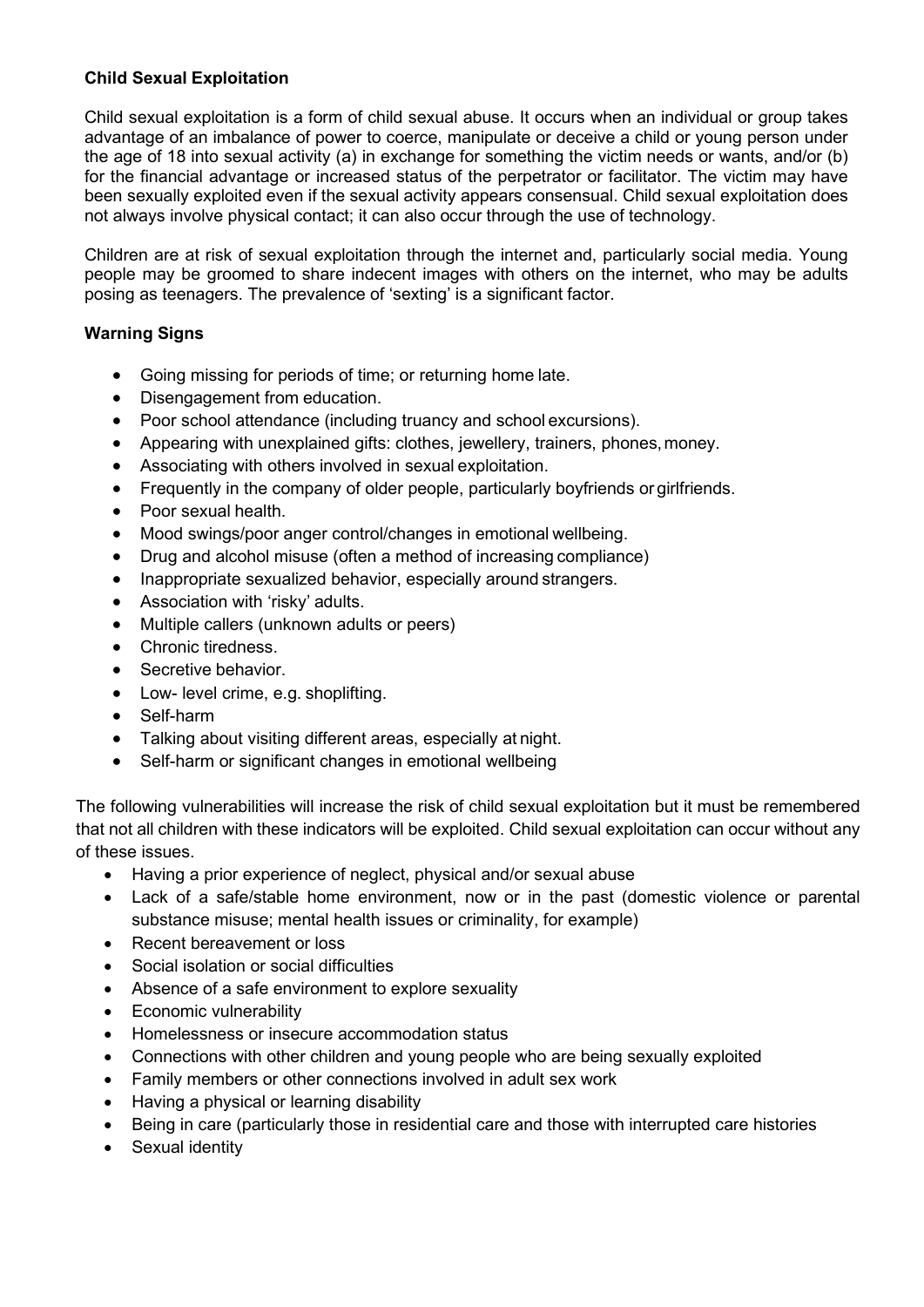### **Child Sexual Exploitation**

Child sexual exploitation is a form of child sexual abuse. It occurs when an individual or group takes advantage of an imbalance of power to coerce, manipulate or deceive a child or young person under the age of 18 into sexual activity (a) in exchange for something the victim needs or wants, and/or (b) for the financial advantage or increased status of the perpetrator or facilitator. The victim may have been sexually exploited even if the sexual activity appears consensual. Child sexual exploitation does not always involve physical contact; it can also occur through the use of technology.

Children are at risk of sexual exploitation through the internet and, particularly social media. Young people may be groomed to share indecent images with others on the internet, who may be adults posing as teenagers. The prevalence of 'sexting' is a significant factor.

### **Warning Signs**

- Going missing for periods of time; or returning home late.
- Disengagement from education.
- Poor school attendance (including truancy and school excursions).
- Appearing with unexplained gifts: clothes, jewellery, trainers, phones, money.
- Associating with others involved in sexual exploitation.
- Frequently in the company of older people, particularly boyfriends or girlfriends.
- Poor sexual health.
- Mood swings/poor anger control/changes in emotional wellbeing.
- Drug and alcohol misuse (often a method of increasing compliance)
- Inappropriate sexualized behavior, especially around strangers.
- Association with 'risky' adults.
- Multiple callers (unknown adults or peers)
- Chronic tiredness.
- Secretive behavior.
- Low- level crime, e.g. shoplifting.
- Self-harm
- Talking about visiting different areas, especially at night.
- Self-harm or significant changes in emotional wellbeing

The following vulnerabilities will increase the risk of child sexual exploitation but it must be remembered that not all children with these indicators will be exploited. Child sexual exploitation can occur without any of these issues.

- Having a prior experience of neglect, physical and/or sexual abuse
- Lack of a safe/stable home environment, now or in the past (domestic violence or parental substance misuse; mental health issues or criminality, for example)
- Recent bereavement or loss
- Social isolation or social difficulties
- Absence of a safe environment to explore sexuality
- Economic vulnerability
- Homelessness or insecure accommodation status
- Connections with other children and young people who are being sexually exploited
- Family members or other connections involved in adult sex work
- Having a physical or learning disability
- Being in care (particularly those in residential care and those with interrupted care histories
- Sexual identity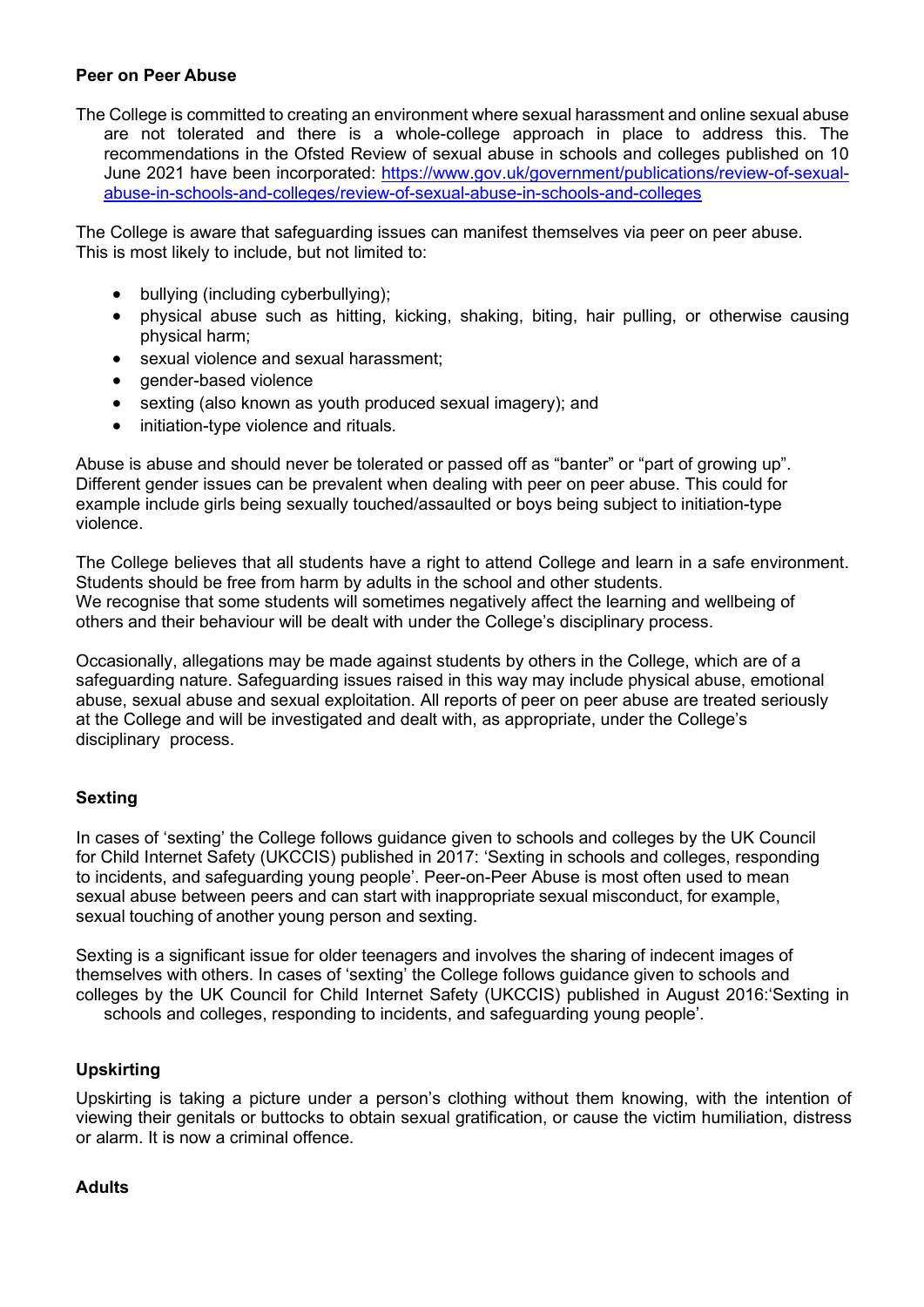#### **Peer on Peer Abuse**

The College is committed to creating an environment where sexual harassment and online sexual abuse are not tolerated and there is a whole-college approach in place to address this. The recommendations in the Ofsted Review of sexual abuse in schools and colleges published on 10 June 2021 have been incorporated: [https://www.gov.uk/government/publications/review-of-sexual](https://www.gov.uk/government/publications/review-of-sexual-abuse-in-schools-and-colleges/review-of-sexual-abuse-in-schools-and-colleges)[abuse-in-schools-and-colleges/review-of-sexual-abuse-in-schools-and-colleges](https://www.gov.uk/government/publications/review-of-sexual-abuse-in-schools-and-colleges/review-of-sexual-abuse-in-schools-and-colleges)

The College is aware that safeguarding issues can manifest themselves via peer on peer abuse. This is most likely to include, but not limited to:

- bullying (including cyberbullying);
- physical abuse such as hitting, kicking, shaking, biting, hair pulling, or otherwise causing physical harm;
- sexual violence and sexual harassment;
- gender-based violence
- sexting (also known as youth produced sexual imagery); and
- initiation-type violence and rituals.

Abuse is abuse and should never be tolerated or passed off as "banter" or "part of growing up". Different gender issues can be prevalent when dealing with peer on peer abuse. This could for example include girls being sexually touched/assaulted or boys being subject to initiation-type violence.

The College believes that all students have a right to attend College and learn in a safe environment. Students should be free from harm by adults in the school and other students. We recognise that some students will sometimes negatively affect the learning and wellbeing of others and their behaviour will be dealt with under the College's disciplinary process.

Occasionally, allegations may be made against students by others in the College, which are of a safeguarding nature. Safeguarding issues raised in this way may include physical abuse, emotional abuse, sexual abuse and sexual exploitation. All reports of peer on peer abuse are treated seriously at the College and will be investigated and dealt with, as appropriate, under the College's disciplinary process.

#### **Sexting**

In cases of 'sexting' the College follows guidance given to schools and colleges by the UK Council for Child Internet Safety (UKCCIS) published in 2017: 'Sexting in schools and colleges, responding to incidents, and safeguarding young people'. Peer-on-Peer Abuse is most often used to mean sexual abuse between peers and can start with inappropriate sexual misconduct, for example, sexual touching of another young person and sexting.

Sexting is a significant issue for older teenagers and involves the sharing of indecent images of themselves with others. In cases of 'sexting' the College follows guidance given to schools and colleges by the UK Council for Child Internet Safety (UKCCIS) published in August 2016:'Sexting in schools and colleges, responding to incidents, and safeguarding young people'.

#### **Upskirting**

Upskirting is taking a picture under a person's clothing without them knowing, with the intention of viewing their genitals or buttocks to obtain sexual gratification, or cause the victim humiliation, distress or alarm. It is now a criminal offence.

#### **Adults**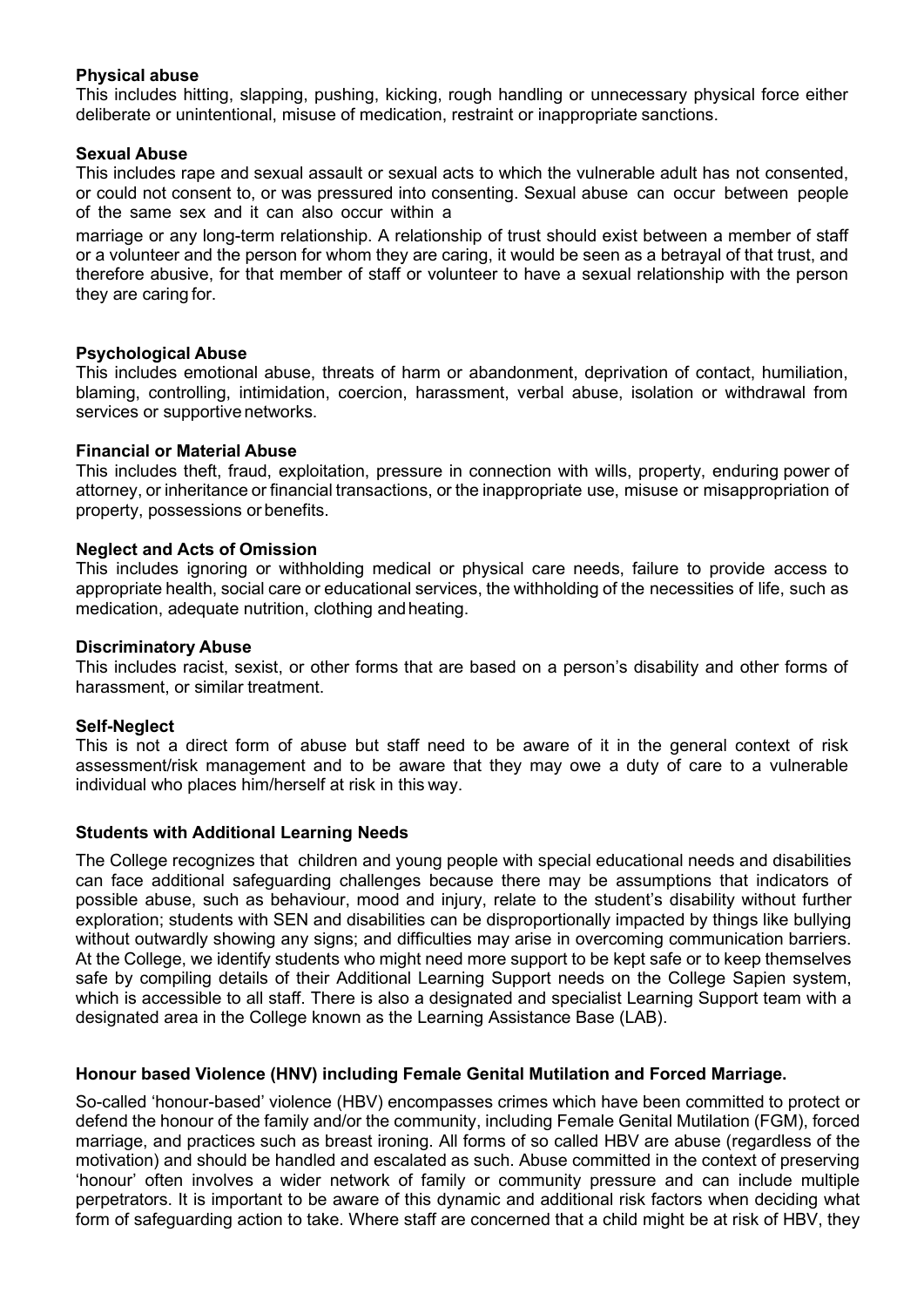#### **Physical abuse**

This includes hitting, slapping, pushing, kicking, rough handling or unnecessary physical force either deliberate or unintentional, misuse of medication, restraint or inappropriate sanctions.

#### **Sexual Abuse**

This includes rape and sexual assault or sexual acts to which the vulnerable adult has not consented, or could not consent to, or was pressured into consenting. Sexual abuse can occur between people of the same sex and it can also occur within a

marriage or any long-term relationship. A relationship of trust should exist between a member of staff or a volunteer and the person for whom they are caring, it would be seen as a betrayal of that trust, and therefore abusive, for that member of staff or volunteer to have a sexual relationship with the person they are caring for.

#### **Psychological Abuse**

This includes emotional abuse, threats of harm or abandonment, deprivation of contact, humiliation, blaming, controlling, intimidation, coercion, harassment, verbal abuse, isolation or withdrawal from services or supportive networks.

#### **Financial or Material Abuse**

This includes theft, fraud, exploitation, pressure in connection with wills, property, enduring power of attorney, or inheritance or financial transactions, or the inappropriate use, misuse or misappropriation of property, possessions or benefits.

#### **Neglect and Acts of Omission**

This includes ignoring or withholding medical or physical care needs, failure to provide access to appropriate health, social care or educational services, the withholding of the necessities of life, such as medication, adequate nutrition, clothing andheating.

#### **Discriminatory Abuse**

This includes racist, sexist, or other forms that are based on a person's disability and other forms of harassment, or similar treatment.

#### **Self-Neglect**

This is not a direct form of abuse but staff need to be aware of it in the general context of risk assessment/risk management and to be aware that they may owe a duty of care to a vulnerable individual who places him/herself at risk in this way.

#### **Students with Additional Learning Needs**

The College recognizes that children and young people with special educational needs and disabilities can face additional safeguarding challenges because there may be assumptions that indicators of possible abuse, such as behaviour, mood and injury, relate to the student's disability without further exploration; students with SEN and disabilities can be disproportionally impacted by things like bullying without outwardly showing any signs; and difficulties may arise in overcoming communication barriers. At the College, we identify students who might need more support to be kept safe or to keep themselves safe by compiling details of their Additional Learning Support needs on the College Sapien system, which is accessible to all staff. There is also a designated and specialist Learning Support team with a designated area in the College known as the Learning Assistance Base (LAB).

#### **Honour based Violence (HNV) including Female Genital Mutilation and Forced Marriage.**

So-called 'honour-based' violence (HBV) encompasses crimes which have been committed to protect or defend the honour of the family and/or the community, including Female Genital Mutilation (FGM), forced marriage, and practices such as breast ironing. All forms of so called HBV are abuse (regardless of the motivation) and should be handled and escalated as such. Abuse committed in the context of preserving 'honour' often involves a wider network of family or community pressure and can include multiple perpetrators. It is important to be aware of this dynamic and additional risk factors when deciding what form of safeguarding action to take. Where staff are concerned that a child might be at risk of HBV, they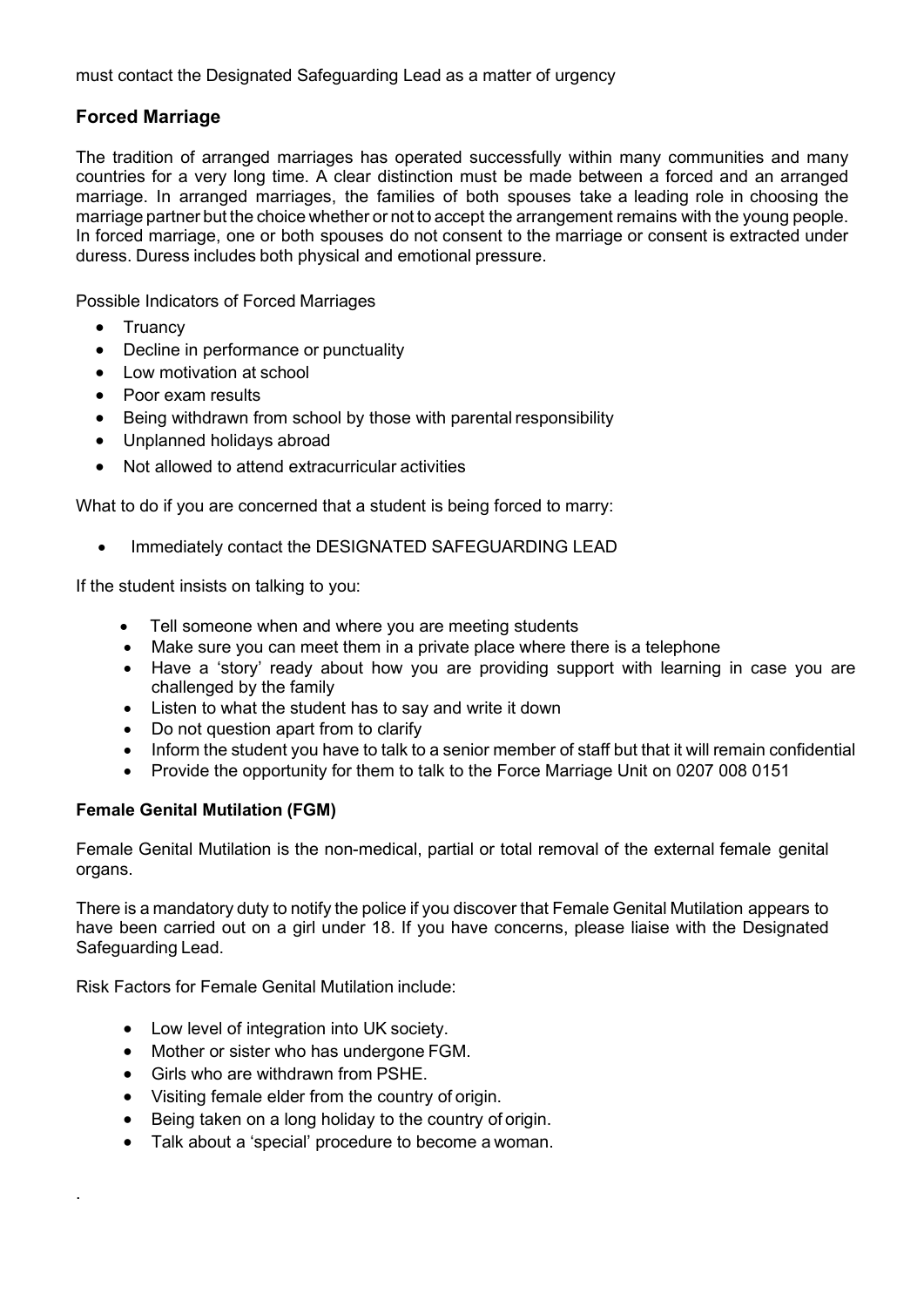must contact the Designated Safeguarding Lead as a matter of urgency

# **Forced Marriage**

The tradition of arranged marriages has operated successfully within many communities and many countries for a very long time. A clear distinction must be made between a forced and an arranged marriage. In arranged marriages, the families of both spouses take a leading role in choosing the marriage partner but the choice whether or not to accept the arrangement remains with the young people. In forced marriage, one or both spouses do not consent to the marriage or consent is extracted under duress. Duress includes both physical and emotional pressure.

Possible Indicators of Forced Marriages

- Truancy
- Decline in performance or punctuality
- Low motivation at school
- Poor exam results
- Being withdrawn from school by those with parental responsibility
- Unplanned holidays abroad
- Not allowed to attend extracurricular activities

What to do if you are concerned that a student is being forced to marry:

Immediately contact the DESIGNATED SAFEGUARDING LEAD

If the student insists on talking to you:

- Tell someone when and where you are meeting students
- Make sure you can meet them in a private place where there is a telephone
- Have a 'story' ready about how you are providing support with learning in case you are challenged by the family
- Listen to what the student has to say and write it down
- Do not question apart from to clarify
- Inform the student you have to talk to a senior member of staff but that it will remain confidential
- Provide the opportunity for them to talk to the Force Marriage Unit on 0207 008 0151

#### **Female Genital Mutilation (FGM)**

.

Female Genital Mutilation is the non-medical, partial or total removal of the external female genital organs.

There is a mandatory duty to notify the police if you discover that Female Genital Mutilation appears to have been carried out on a girl under 18. If you have concerns, please liaise with the Designated Safeguarding Lead.

Risk Factors for Female Genital Mutilation include:

- Low level of integration into UK society.
- Mother or sister who has undergone FGM.
- Girls who are withdrawn from PSHE.
- Visiting female elder from the country of origin.
- Being taken on a long holiday to the country of origin.
- Talk about a 'special' procedure to become a woman.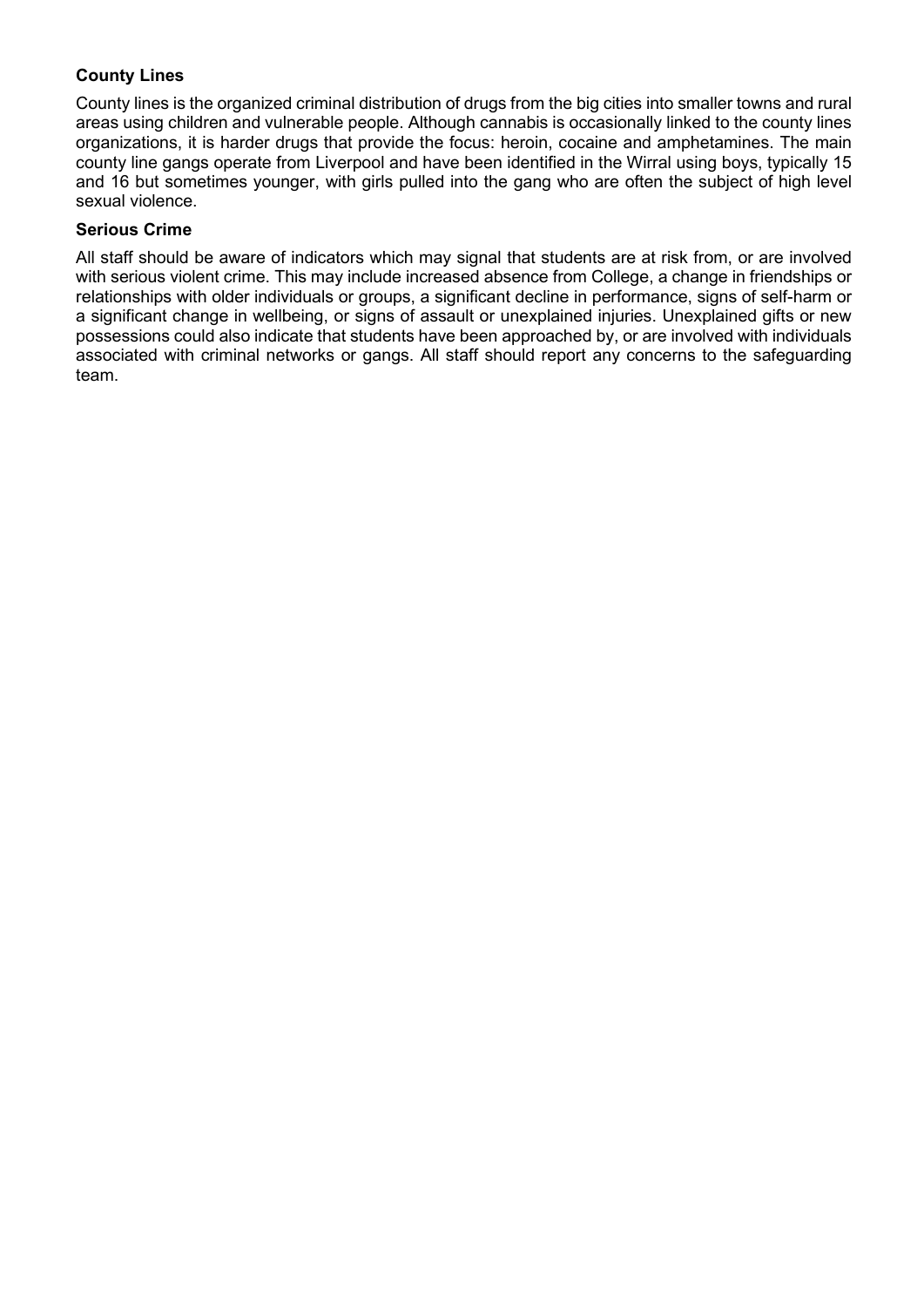### **County Lines**

County lines is the organized criminal distribution of drugs from the big cities into smaller towns and rural areas using children and vulnerable people. Although cannabis is occasionally linked to the county lines organizations, it is harder drugs that provide the focus: heroin, cocaine and amphetamines. The main county line gangs operate from Liverpool and have been identified in the Wirral using boys, typically 15 and 16 but sometimes younger, with girls pulled into the gang who are often the subject of high level sexual violence.

#### **Serious Crime**

All staff should be aware of indicators which may signal that students are at risk from, or are involved with serious violent crime. This may include increased absence from College, a change in friendships or relationships with older individuals or groups, a significant decline in performance, signs of self-harm or a significant change in wellbeing, or signs of assault or unexplained injuries. Unexplained gifts or new possessions could also indicate that students have been approached by, or are involved with individuals associated with criminal networks or gangs. All staff should report any concerns to the safeguarding team.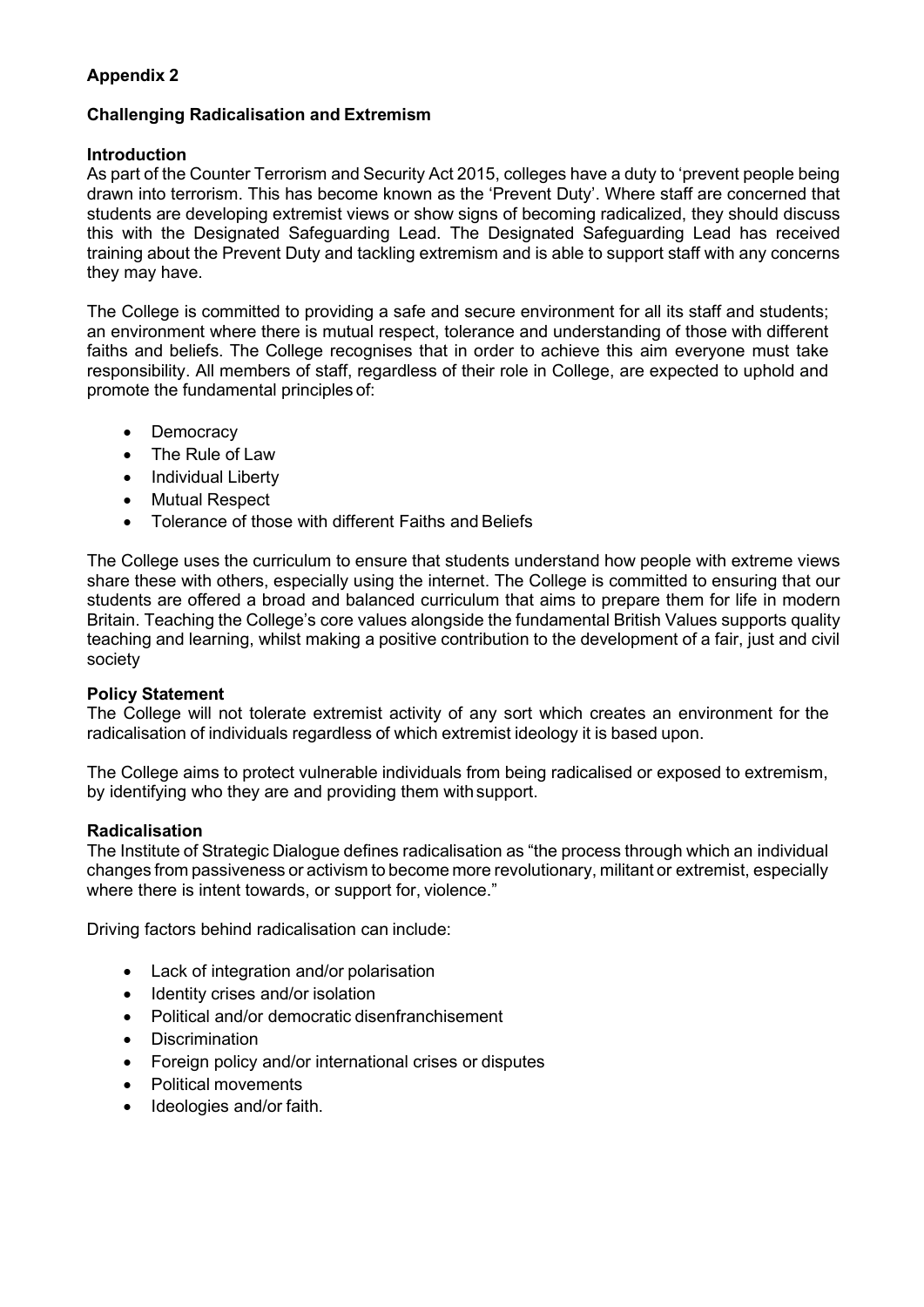# **Appendix 2**

### **Challenging Radicalisation and Extremism**

#### **Introduction**

As part of the Counter Terrorism and Security Act 2015, colleges have a duty to 'prevent people being drawn into terrorism. This has become known as the 'Prevent Duty'. Where staff are concerned that students are developing extremist views or show signs of becoming radicalized, they should discuss this with the Designated Safeguarding Lead. The Designated Safeguarding Lead has received training about the Prevent Duty and tackling extremism and is able to support staff with any concerns they may have.

The College is committed to providing a safe and secure environment for all its staff and students; an environment where there is mutual respect, tolerance and understanding of those with different faiths and beliefs. The College recognises that in order to achieve this aim everyone must take responsibility. All members of staff, regardless of their role in College, are expected to uphold and promote the fundamental principles of:

- Democracy
- The Rule of Law
- Individual Liberty
- Mutual Respect
- Tolerance of those with different Faiths and Beliefs

The College uses the curriculum to ensure that students understand how people with extreme views share these with others, especially using the internet. The College is committed to ensuring that our students are offered a broad and balanced curriculum that aims to prepare them for life in modern Britain. Teaching the College's core values alongside the fundamental British Values supports quality teaching and learning, whilst making a positive contribution to the development of a fair, just and civil society

#### **Policy Statement**

The College will not tolerate extremist activity of any sort which creates an environment for the radicalisation of individuals regardless of which extremist ideology it is based upon.

The College aims to protect vulnerable individuals from being radicalised or exposed to extremism, by identifying who they are and providing them withsupport.

#### **Radicalisation**

The Institute of Strategic Dialogue defines radicalisation as "the process through which an individual changes from passiveness or activism to become more revolutionary, militant or extremist, especially where there is intent towards, or support for, violence."

Driving factors behind radicalisation can include:

- Lack of integration and/or polarisation
- Identity crises and/or isolation
- Political and/or democratic disenfranchisement
- **Discrimination**
- Foreign policy and/or international crises or disputes
- Political movements
- Ideologies and/or faith.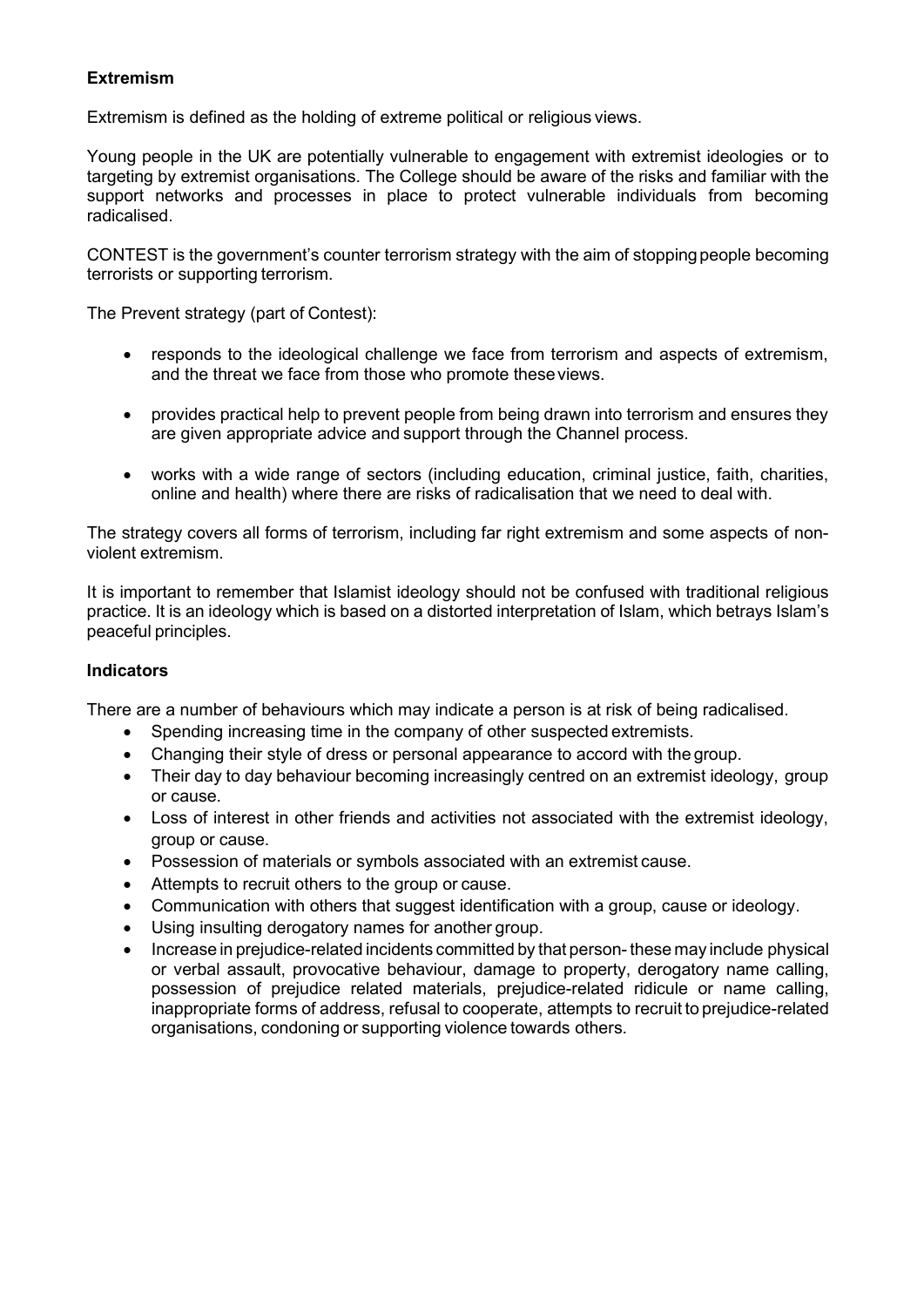#### **Extremism**

Extremism is defined as the holding of extreme political or religious views.

Young people in the UK are potentially vulnerable to engagement with extremist ideologies or to targeting by extremist organisations. The College should be aware of the risks and familiar with the support networks and processes in place to protect vulnerable individuals from becoming radicalised.

CONTEST is the government's counter terrorism strategy with the aim of stopping people becoming terrorists or supporting terrorism.

The Prevent strategy (part of Contest):

- responds to the ideological challenge we face from terrorism and aspects of extremism, and the threat we face from those who promote theseviews.
- provides practical help to prevent people from being drawn into terrorism and ensures they are given appropriate advice and support through the Channel process.
- works with a wide range of sectors (including education, criminal justice, faith, charities, online and health) where there are risks of radicalisation that we need to deal with.

The strategy covers all forms of terrorism, including far right extremism and some aspects of nonviolent extremism.

It is important to remember that Islamist ideology should not be confused with traditional religious practice. It is an ideology which is based on a distorted interpretation of Islam, which betrays Islam's peaceful principles.

#### **Indicators**

There are a number of behaviours which may indicate a person is at risk of being radicalised.

- Spending increasing time in the company of other suspected extremists.
- Changing their style of dress or personal appearance to accord with the group.
- Their day to day behaviour becoming increasingly centred on an extremist ideology, group or cause.
- Loss of interest in other friends and activities not associated with the extremist ideology, group or cause.
- Possession of materials or symbols associated with an extremist cause.
- Attempts to recruit others to the group or cause.
- Communication with others that suggest identification with a group, cause or ideology.
- Using insulting derogatory names for another group.
- Increase in prejudice-related incidents committed by that person- these may include physical or verbal assault, provocative behaviour, damage to property, derogatory name calling, possession of prejudice related materials, prejudice-related ridicule or name calling, inappropriate forms of address, refusal to cooperate, attempts to recruit to prejudice-related organisations, condoning or supporting violence towards others.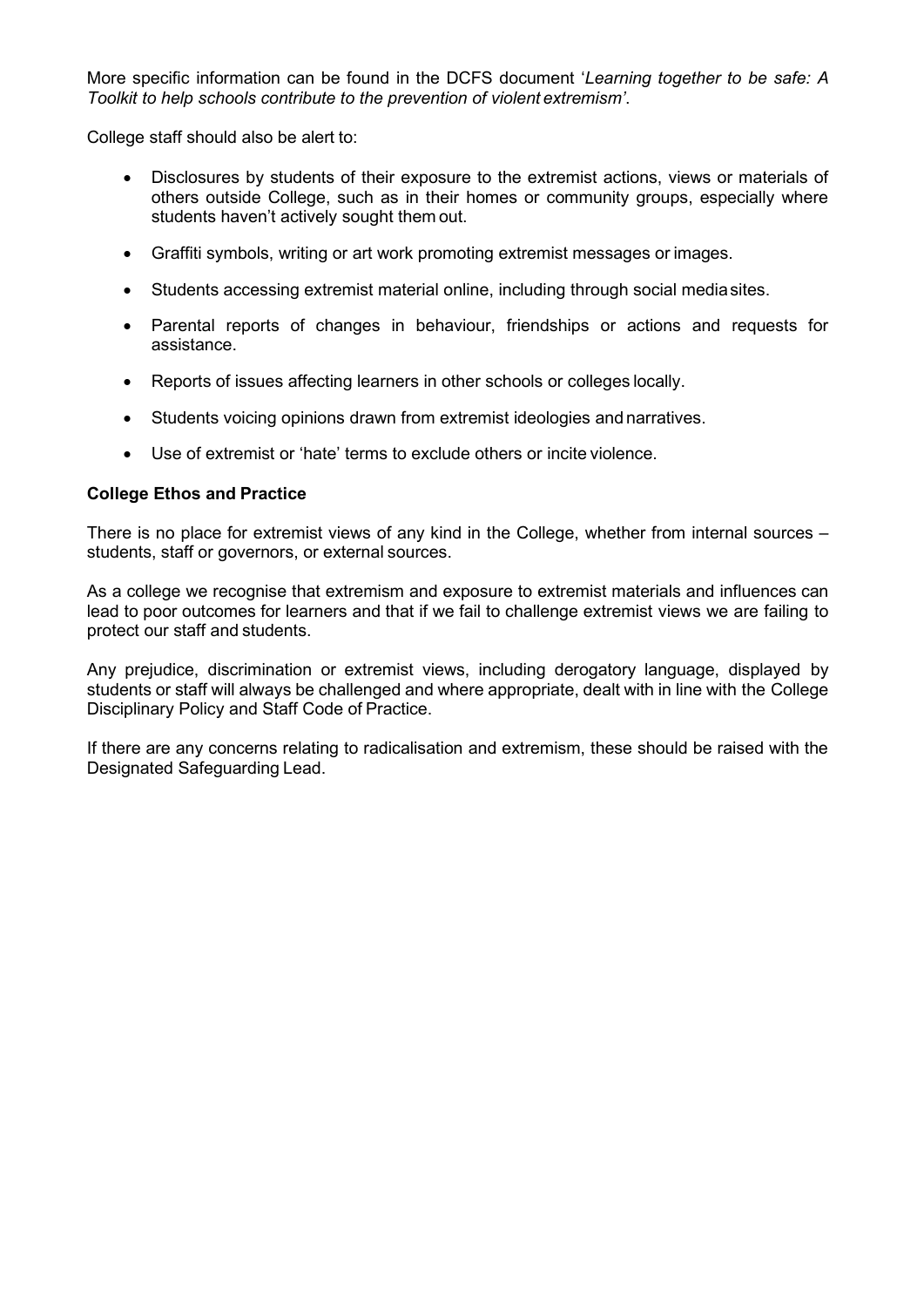More specific information can be found in the DCFS document '*Learning together to be safe: A Toolkit to help schools contribute to the prevention of violent extremism'*.

College staff should also be alert to:

- Disclosures by students of their exposure to the extremist actions, views or materials of others outside College, such as in their homes or community groups, especially where students haven't actively sought them out.
- Graffiti symbols, writing or art work promoting extremist messages or images.
- Students accessing extremist material online, including through social mediasites.
- Parental reports of changes in behaviour, friendships or actions and requests for assistance.
- Reports of issues affecting learners in other schools or colleges locally.
- Students voicing opinions drawn from extremist ideologies and narratives.
- Use of extremist or 'hate' terms to exclude others or incite violence.

#### **College Ethos and Practice**

There is no place for extremist views of any kind in the College, whether from internal sources – students, staff or governors, or external sources.

As a college we recognise that extremism and exposure to extremist materials and influences can lead to poor outcomes for learners and that if we fail to challenge extremist views we are failing to protect our staff and students.

Any prejudice, discrimination or extremist views, including derogatory language, displayed by students or staff will always be challenged and where appropriate, dealt with in line with the College Disciplinary Policy and Staff Code of Practice.

If there are any concerns relating to radicalisation and extremism, these should be raised with the Designated Safeguarding Lead.